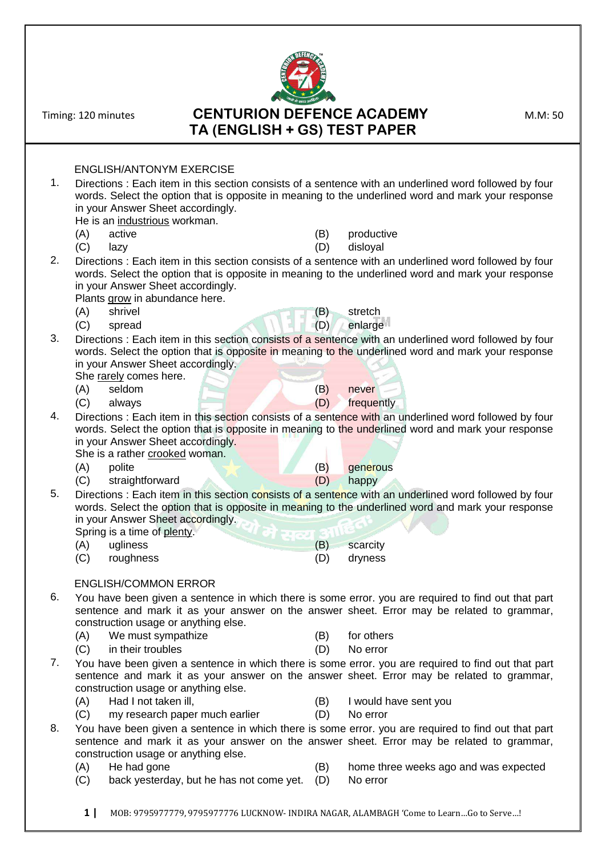ENGLISH/ANTONYM EXERCISE 1. Directions : Each item in this section consists of a sentence with an underlined word followed by four words. Select the option that is opposite in meaning to the underlined word and mark your response in your Answer Sheet accordingly. He is an industrious workman. (A) active (B) productive (C) lazy (D) disloyal 2. Directions : Each item in this section consists of a sentence with an underlined word followed by four words. Select the option that is opposite in meaning to the underlined word and mark your response in your Answer Sheet accordingly. Plants grow in abundance here. (A) shrivel (B) stretch (C) spread (D) enlarge 3. Directions : Each item in this section consists of a sentence with an underlined word followed by four words. Select the option that is opposite in meaning to the underlined word and mark your response in your Answer Sheet accordingly. She rarely comes here. (A) seldom (B) never (C) always (D) frequently 4. Directions : Each item in this section consists of a sentence with an underlined word followed by four words. Select the option that is opposite in meaning to the underlined word and mark your response in your Answer Sheet accordingly. She is a rather crooked woman. (A) polite (B) generous (C) straightforward (D) happy 5. Directions : Each item in this section consists of a sentence with an underlined word followed by four words. Select the option that is opposite in meaning to the underlined word and mark your response in your Answer Sheet accordingly. Spring is a time of plenty. (A) ugliness (B) scarcity (C) roughness (D) dryness ENGLISH/COMMON ERROR 6. You have been given a sentence in which there is some error. you are required to find out that part sentence and mark it as your answer on the answer sheet. Error may be related to grammar, construction usage or anything else. (A) We must sympathize (B) for others (C) in their troubles (D) No error 7. You have been given a sentence in which there is some error. you are required to find out that part sentence and mark it as your answer on the answer sheet. Error may be related to grammar, construction usage or anything else. (A) Had I not taken ill, (B) I would have sent you (C) my research paper much earlier (D) No error 8. You have been given a sentence in which there is some error. you are required to find out that part sentence and mark it as your answer on the answer sheet. Error may be related to grammar, construction usage or anything else. (A) He had gone  $(B)$  home three weeks ago and was expected (C) back yesterday, but he has not come yet. (D) No error

**TA (ENGLISH + GS) TEST PAPER**

Timing: 120 minutes **CENTURION DEFENCE ACADEMY** M.M: 50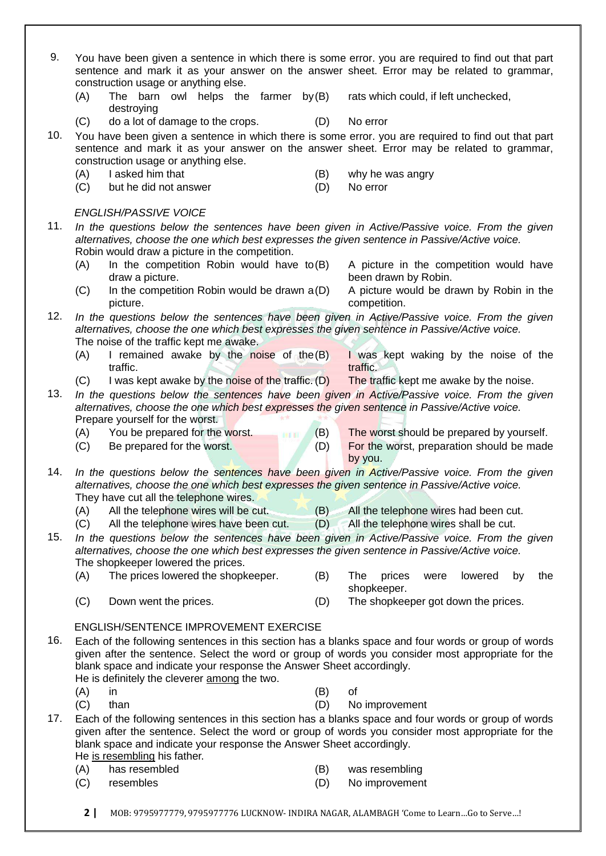- 9. You have been given a sentence in which there is some error. you are required to find out that part sentence and mark it as your answer on the answer sheet. Error may be related to grammar, construction usage or anything else.  $(A)$  The barn owl helps the farmer by  $(B)$ destroying rats which could, if left unchecked, (C) do a lot of damage to the crops. (D) No error 10. You have been given a sentence in which there is some error. you are required to find out that part sentence and mark it as your answer on the answer sheet. Error may be related to grammar, construction usage or anything else. (A) I asked him that (B) why he was angry (C) but he did not answer (D) No error *ENGLISH/PASSIVE VOICE* 11. *In the questions below the sentences have been given in Active/Passive voice. From the given alternatives, choose the one which best expresses the given sentence in Passive/Active voice.* Robin would draw a picture in the competition.  $(A)$  In the competition Robin would have to  $(B)$ draw a picture. A picture in the competition would have been drawn by Robin.  $(C)$  In the competition Robin would be drawn  $a(D)$ picture. A picture would be drawn by Robin in the competition. 12. *In the questions below the sentences have been given in Active/Passive voice. From the given alternatives, choose the one which best expresses the given sentence in Passive/Active voice.* The noise of the traffic kept me awake.  $(A)$  I remained awake by the noise of the  $(B)$ traffic. I was kept waking by the noise of the traffic.  $(C)$  I was kept awake by the noise of the traffic.  $(D)$  The traffic kept me awake by the noise. 13. *In the questions below the sentences have been given in Active/Passive voice. From the given alternatives, choose the one which best expresses the given sentence in Passive/Active voice.* Prepare yourself for the worst. (A) You be prepared for the worst. (B) The worst should be prepared by yourself. (C) Be prepared for the worst. (D) For the worst, preparation should be made by you. 14. *In the questions below the sentences have been given in Active/Passive voice. From the given alternatives, choose the one which best expresses the given sentence in Passive/Active voice.* They have cut all the telephone wires. (A) All the telephone wires will be cut. (B) All the telephone wires had been cut. (C) All the telephone wires have been cut. (D) All the telephone wires shall be cut. 15. *In the questions below the sentences have been given in Active/Passive voice. From the given alternatives, choose the one which best expresses the given sentence in Passive/Active voice.* The shopkeeper lowered the prices. (A) The prices lowered the shopkeeper. (B) The prices were lowered by the shopkeeper. (C) Down went the prices. (D) The shopkeeper got down the prices. ENGLISH/SENTENCE IMPROVEMENT EXERCISE 16. Each of the following sentences in this section has a blanks space and four words or group of words given after the sentence. Select the word or group of words you consider most appropriate for the blank space and indicate your response the Answer Sheet accordingly. He is definitely the cleverer among the two. (A) in (B) of (C) than (D) No improvement 17. Each of the following sentences in this section has a blanks space and four words or group of words given after the sentence. Select the word or group of words you consider most appropriate for the blank space and indicate your response the Answer Sheet accordingly. He is resembling his father. (A) has resembled (B) was resembling (C) resembles (D) No improvement
	- **2 |** MOB: 9795977779, 9795977776 LUCKNOW- INDIRA NAGAR, ALAMBAGH 'Come to Learn…Go to Serve…!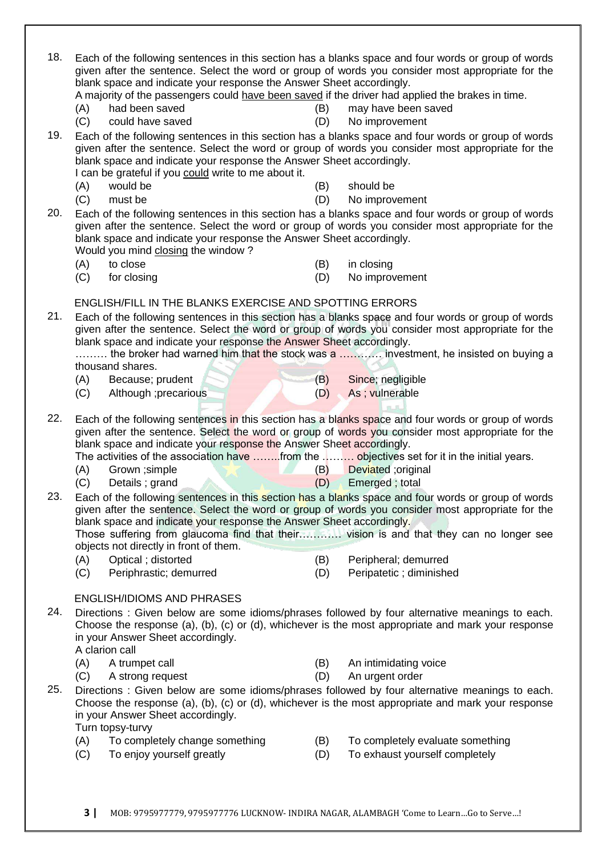| 18. | Each of the following sentences in this section has a blanks space and four words or group of words<br>blank space and indicate your response the Answer Sheet accordingly.<br>A majority of the passengers could have been saved if the driver had applied the brakes in time.                                                          |     | given after the sentence. Select the word or group of words you consider most appropriate for the                                                                                                     |
|-----|------------------------------------------------------------------------------------------------------------------------------------------------------------------------------------------------------------------------------------------------------------------------------------------------------------------------------------------|-----|-------------------------------------------------------------------------------------------------------------------------------------------------------------------------------------------------------|
|     | had been saved<br>(A)                                                                                                                                                                                                                                                                                                                    | (B) | may have been saved                                                                                                                                                                                   |
|     | (C)<br>could have saved                                                                                                                                                                                                                                                                                                                  | (D) | No improvement                                                                                                                                                                                        |
| 19. | Each of the following sentences in this section has a blanks space and four words or group of words<br>given after the sentence. Select the word or group of words you consider most appropriate for the<br>blank space and indicate your response the Answer Sheet accordingly.<br>I can be grateful if you could write to me about it. |     |                                                                                                                                                                                                       |
|     | would be<br>(A)                                                                                                                                                                                                                                                                                                                          | (B) | should be                                                                                                                                                                                             |
| 20. | (C)<br>must be<br>Each of the following sentences in this section has a blanks space and four words or group of words<br>blank space and indicate your response the Answer Sheet accordingly.<br>Would you mind closing the window?                                                                                                      | (D) | No improvement<br>given after the sentence. Select the word or group of words you consider most appropriate for the                                                                                   |
|     | to close<br>(A)                                                                                                                                                                                                                                                                                                                          | (B) | in closing                                                                                                                                                                                            |
|     | (C)<br>for closing                                                                                                                                                                                                                                                                                                                       | (D) | No improvement                                                                                                                                                                                        |
|     | <b>ENGLISH/FILL IN THE BLANKS EXERCISE AND SPOTTING ERRORS</b>                                                                                                                                                                                                                                                                           |     |                                                                                                                                                                                                       |
| 21. | Each of the following sentences in this section has a blanks space and four words or group of words                                                                                                                                                                                                                                      |     | given after the sentence. Select the word or group of words you consider most appropriate for the                                                                                                     |
|     | blank space and indicate your response the Answer Sheet accordingly.                                                                                                                                                                                                                                                                     |     |                                                                                                                                                                                                       |
|     | thousand shares.                                                                                                                                                                                                                                                                                                                         |     | the broker had warned him that the stock was a  investment, he insisted on buying a                                                                                                                   |
|     | Because; prudent<br>(A)                                                                                                                                                                                                                                                                                                                  | (B) | Since; negligible                                                                                                                                                                                     |
|     | Although ;precarious<br>(C)                                                                                                                                                                                                                                                                                                              | (D) | As; vulnerable                                                                                                                                                                                        |
|     |                                                                                                                                                                                                                                                                                                                                          |     |                                                                                                                                                                                                       |
| 22. | Each of the following sentences in this section has a blanks space and four words or group of words                                                                                                                                                                                                                                      |     | given after the sentence. Select the word or group of words you consider most appropriate for the                                                                                                     |
|     | blank space and indicate your response the Answer Sheet accordingly.<br>The activities of the association have from the  objectives set for it in the initial years.                                                                                                                                                                     |     |                                                                                                                                                                                                       |
|     | Grown ; simple<br>(A)                                                                                                                                                                                                                                                                                                                    | (B) | Deviated ;original                                                                                                                                                                                    |
|     | Details; grand<br>(C)                                                                                                                                                                                                                                                                                                                    | (D) | Emerged; total                                                                                                                                                                                        |
| 23. | given after the sentence. Select the word or group of words you consider most appropriate for the<br>blank space and indicate your response the Answer Sheet accordingly.                                                                                                                                                                |     | Each of the following sentences in this section has a blanks space and four words or group of words                                                                                                   |
|     | objects not directly in front of them.                                                                                                                                                                                                                                                                                                   |     |                                                                                                                                                                                                       |
|     | (A)<br>Optical; distorted                                                                                                                                                                                                                                                                                                                | (B) | Peripheral; demurred                                                                                                                                                                                  |
|     | (C)<br>Periphrastic; demurred                                                                                                                                                                                                                                                                                                            | (D) | Peripatetic; diminished                                                                                                                                                                               |
|     | <b>ENGLISH/IDIOMS AND PHRASES</b>                                                                                                                                                                                                                                                                                                        |     |                                                                                                                                                                                                       |
| 24. | Directions : Given below are some idioms/phrases followed by four alternative meanings to each.<br>in your Answer Sheet accordingly.<br>A clarion call                                                                                                                                                                                   |     | Choose the response (a), (b), (c) or (d), whichever is the most appropriate and mark your response                                                                                                    |
|     | (A)<br>A trumpet call                                                                                                                                                                                                                                                                                                                    | (B) | An intimidating voice                                                                                                                                                                                 |
| 25. | (C)<br>A strong request                                                                                                                                                                                                                                                                                                                  | (D) | An urgent order                                                                                                                                                                                       |
|     | in your Answer Sheet accordingly.                                                                                                                                                                                                                                                                                                        |     | Directions : Given below are some idioms/phrases followed by four alternative meanings to each.<br>Choose the response (a), (b), (c) or (d), whichever is the most appropriate and mark your response |
|     | Turn topsy-turvy<br>(A) To completely change something                                                                                                                                                                                                                                                                                   | (B) | To completely evaluate something                                                                                                                                                                      |
|     | To enjoy yourself greatly<br>(C)                                                                                                                                                                                                                                                                                                         | (D) | To exhaust yourself completely                                                                                                                                                                        |
|     |                                                                                                                                                                                                                                                                                                                                          |     |                                                                                                                                                                                                       |
|     |                                                                                                                                                                                                                                                                                                                                          |     |                                                                                                                                                                                                       |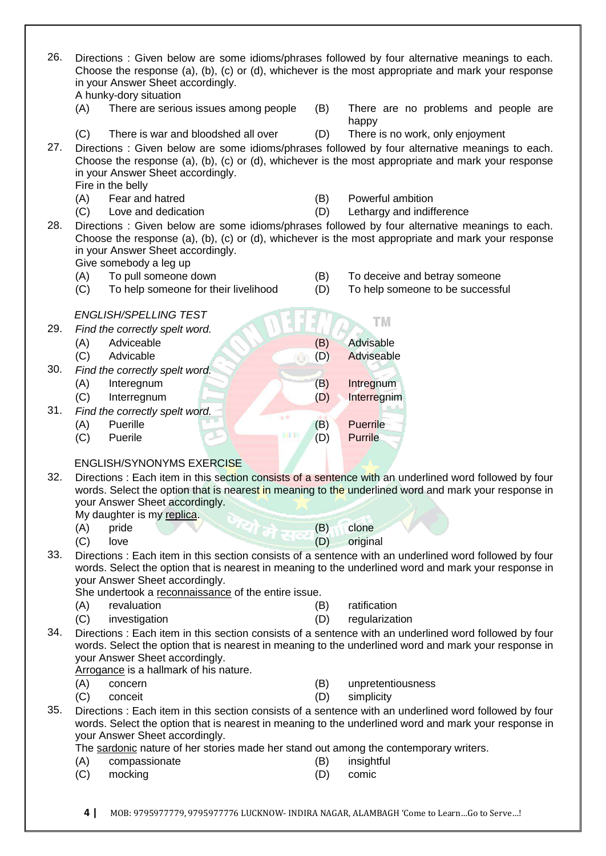| 26. | Directions : Given below are some idioms/phrases followed by four alternative meanings to each.<br>Choose the response (a), (b), (c) or (d), whichever is the most appropriate and mark your response<br>in your Answer Sheet accordingly.<br>A hunky-dory situation |            |                                               |
|-----|----------------------------------------------------------------------------------------------------------------------------------------------------------------------------------------------------------------------------------------------------------------------|------------|-----------------------------------------------|
|     | There are serious issues among people<br>(A)                                                                                                                                                                                                                         | (B)        | There are no problems and people are<br>happy |
|     | (C)<br>There is war and bloodshed all over                                                                                                                                                                                                                           | (D)        | There is no work, only enjoyment              |
| 27. | Directions : Given below are some idioms/phrases followed by four alternative meanings to each.<br>Choose the response (a), (b), (c) or (d), whichever is the most appropriate and mark your response<br>in your Answer Sheet accordingly.<br>Fire in the belly      |            |                                               |
|     | Fear and hatred<br>(A)                                                                                                                                                                                                                                               | (B)        | Powerful ambition                             |
|     | (C)<br>Love and dedication                                                                                                                                                                                                                                           | (D)        | Lethargy and indifference                     |
| 28. | Directions : Given below are some idioms/phrases followed by four alternative meanings to each.<br>Choose the response (a), (b), (c) or (d), whichever is the most appropriate and mark your response<br>in your Answer Sheet accordingly.<br>Give somebody a leg up |            |                                               |
|     | To pull someone down<br>(A)                                                                                                                                                                                                                                          | (B)        | To deceive and betray someone                 |
|     | (C)<br>To help someone for their livelihood                                                                                                                                                                                                                          | (D)        | To help someone to be successful              |
|     | <b>ENGLISH/SPELLING TEST</b>                                                                                                                                                                                                                                         |            |                                               |
| 29. | Find the correctly spelt word.                                                                                                                                                                                                                                       |            | TM                                            |
|     | Adviceable<br>(A)                                                                                                                                                                                                                                                    | (B)        | Advisable                                     |
|     | (C)<br>Advicable                                                                                                                                                                                                                                                     | (D)        | Adviseable                                    |
| 30. | Find the correctly spelt word.                                                                                                                                                                                                                                       |            |                                               |
|     | (A)<br>Interegnum                                                                                                                                                                                                                                                    | (B)        | Intregnum                                     |
|     | (C)<br>Interregnum                                                                                                                                                                                                                                                   | (D)        | Interregnim                                   |
| 31. | Find the correctly spelt word.<br>女女                                                                                                                                                                                                                                 |            |                                               |
|     | Puerille<br>(A)<br>BH TI                                                                                                                                                                                                                                             | (B)        | <b>Puerrile</b>                               |
|     | Puerile<br>(C)                                                                                                                                                                                                                                                       | (D)        | <b>Purrile</b>                                |
|     | <b>ENGLISH/SYNONYMS EXERCISE</b>                                                                                                                                                                                                                                     |            |                                               |
| 32. | Directions : Each item in this section consists of a sentence with an underlined word followed by four                                                                                                                                                               |            |                                               |
|     | words. Select the option that is nearest in meaning to the underlined word and mark your response in                                                                                                                                                                 |            |                                               |
|     | your Answer Sheet accordingly.                                                                                                                                                                                                                                       |            |                                               |
|     | My daughter is my replica.<br>pride                                                                                                                                                                                                                                  |            | clone                                         |
|     | (A)<br>(C)<br>love                                                                                                                                                                                                                                                   | (B)<br>(D) | original                                      |
| 33. | Directions : Each item in this section consists of a sentence with an underlined word followed by four                                                                                                                                                               |            |                                               |
|     | words. Select the option that is nearest in meaning to the underlined word and mark your response in                                                                                                                                                                 |            |                                               |
|     | your Answer Sheet accordingly.<br>She undertook a reconnaissance of the entire issue.                                                                                                                                                                                |            |                                               |
|     | (A)<br>revaluation                                                                                                                                                                                                                                                   | (B)        | ratification                                  |
|     | (C)<br>investigation                                                                                                                                                                                                                                                 | (D)        | regularization                                |
| 34. | Directions : Each item in this section consists of a sentence with an underlined word followed by four                                                                                                                                                               |            |                                               |
|     | words. Select the option that is nearest in meaning to the underlined word and mark your response in                                                                                                                                                                 |            |                                               |
|     | your Answer Sheet accordingly.<br>Arrogance is a hallmark of his nature.                                                                                                                                                                                             |            |                                               |
|     | (A)<br>concern                                                                                                                                                                                                                                                       | (B)        | unpretentiousness                             |
|     | (C)<br>conceit                                                                                                                                                                                                                                                       | (D)        | simplicity                                    |
| 35. | Directions : Each item in this section consists of a sentence with an underlined word followed by four                                                                                                                                                               |            |                                               |
|     | words. Select the option that is nearest in meaning to the underlined word and mark your response in                                                                                                                                                                 |            |                                               |
|     | your Answer Sheet accordingly.                                                                                                                                                                                                                                       |            |                                               |
|     | The sardonic nature of her stories made her stand out among the contemporary writers.                                                                                                                                                                                |            |                                               |
|     | compassionate<br>(A)<br>(C)<br>mocking                                                                                                                                                                                                                               | (B)<br>(D) | insightful<br>comic                           |
|     |                                                                                                                                                                                                                                                                      |            |                                               |
|     |                                                                                                                                                                                                                                                                      |            |                                               |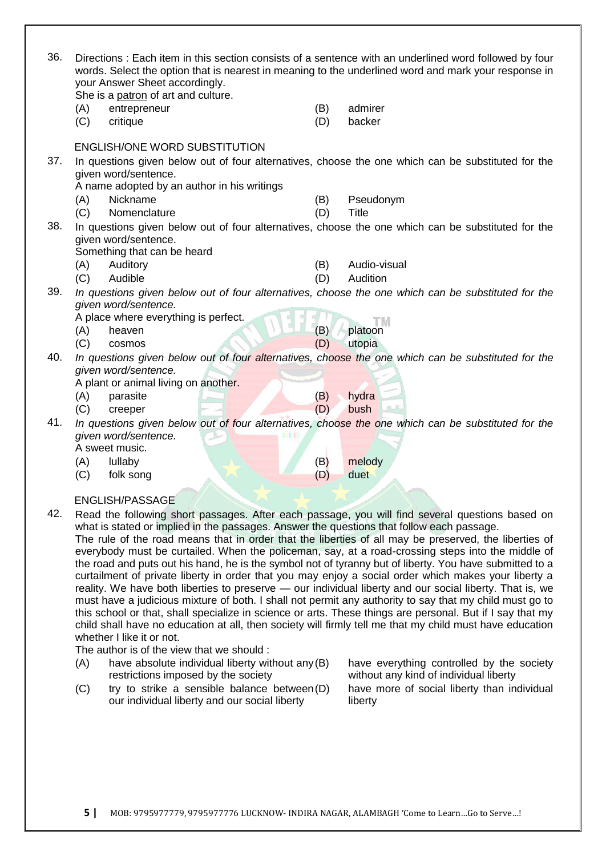| 36. |            | your Answer Sheet accordingly.<br>She is a patron of art and culture.                     |            | Directions : Each item in this section consists of a sentence with an underlined word followed by four<br>words. Select the option that is nearest in meaning to the underlined word and mark your response in |
|-----|------------|-------------------------------------------------------------------------------------------|------------|----------------------------------------------------------------------------------------------------------------------------------------------------------------------------------------------------------------|
|     | (A)<br>(C) | entrepreneur<br>critique                                                                  | (B)<br>(D) | admirer<br>backer                                                                                                                                                                                              |
|     |            | <b>ENGLISH/ONE WORD SUBSTITUTION</b>                                                      |            |                                                                                                                                                                                                                |
| 37. |            | given word/sentence.                                                                      |            | In questions given below out of four alternatives, choose the one which can be substituted for the                                                                                                             |
|     |            | A name adopted by an author in his writings                                               |            |                                                                                                                                                                                                                |
|     | (A)        | Nickname                                                                                  | (B)        | Pseudonym                                                                                                                                                                                                      |
|     | (C)        | Nomenclature                                                                              | (D)        | <b>Title</b>                                                                                                                                                                                                   |
| 38. |            |                                                                                           |            | In questions given below out of four alternatives, choose the one which can be substituted for the                                                                                                             |
|     |            | given word/sentence.                                                                      |            |                                                                                                                                                                                                                |
|     |            | Something that can be heard                                                               |            |                                                                                                                                                                                                                |
|     | (A)        | Auditory                                                                                  | (B)        | Audio-visual                                                                                                                                                                                                   |
|     | (C)        | Audible                                                                                   | (D)        | Audition                                                                                                                                                                                                       |
| 39. |            |                                                                                           |            | In questions given below out of four alternatives, choose the one which can be substituted for the                                                                                                             |
|     |            | given word/sentence.                                                                      |            |                                                                                                                                                                                                                |
|     |            | A place where everything is perfect.                                                      | (B)        | TМ                                                                                                                                                                                                             |
|     | (A)        | heaven                                                                                    |            | platoon                                                                                                                                                                                                        |
| 40. | (C)        | cosmos                                                                                    | (D)        | utopia                                                                                                                                                                                                         |
|     |            | given word/sentence.                                                                      |            | In questions given below out of four alternatives, choose the one which can be substituted for the                                                                                                             |
|     |            | A plant or animal living on another.                                                      |            |                                                                                                                                                                                                                |
|     | (A)        | parasite                                                                                  | (B)        | hydra                                                                                                                                                                                                          |
|     | (C)        | creeper                                                                                   | (D)        | bush                                                                                                                                                                                                           |
| 41. |            |                                                                                           |            | In questions given below out of four alternatives, choose the one which can be substituted for the                                                                                                             |
|     |            | given word/sentence.                                                                      |            |                                                                                                                                                                                                                |
|     |            | A sweet music.                                                                            |            |                                                                                                                                                                                                                |
|     | (A)        | lullaby                                                                                   | (B)        | melody                                                                                                                                                                                                         |
|     | (C)        | folk song                                                                                 | (D)        | duet                                                                                                                                                                                                           |
|     |            |                                                                                           |            |                                                                                                                                                                                                                |
|     |            | ENGLISH/PASSAGE                                                                           |            |                                                                                                                                                                                                                |
| 42. |            |                                                                                           |            | Read the following short passages. After each passage, you will find several questions based on                                                                                                                |
|     |            | what is stated or implied in the passages. Answer the questions that follow each passage. |            |                                                                                                                                                                                                                |
|     |            |                                                                                           |            | The rule of the road means that in order that the liberties of all may be preserved, the liberties of                                                                                                          |
|     |            |                                                                                           |            | everybody must be curtailed. When the policeman, say, at a road-crossing steps into the middle of                                                                                                              |

the road and puts out his hand, he is the symbol not of tyranny but of liberty. You have submitted to a curtailment of private liberty in order that you may enjoy a social order which makes your liberty a reality. We have both liberties to preserve - our individual liberty and our social liberty. That is, we must have a judicious mixture of both. I shall not permit any authority to say that my child must go to this school or that, shall specialize in science or arts. These things are personal. But if I say that my child shall have no education at all, then society will firmly tell me that my child must have education whether I like it or not.

The author is of the view that we should :

- $(A)$  have absolute individual liberty without any  $(B)$ restrictions imposed by the society
- (C) try to strike a sensible balance between(D) our individual liberty and our social liberty

have everything controlled by the society without any kind of individual liberty have more of social liberty than individual liberty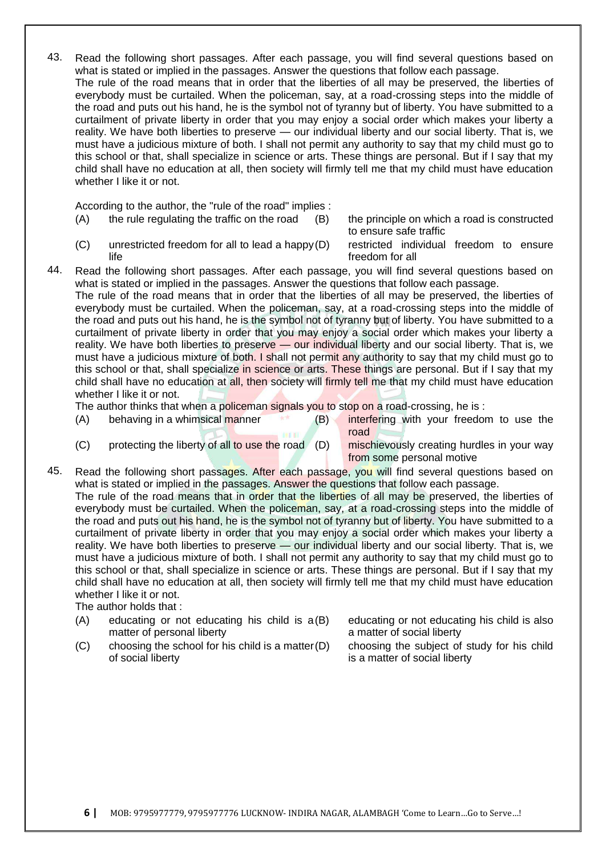43. Read the following short passages. After each passage, you will find several questions based on what is stated or implied in the passages. Answer the questions that follow each passage. The rule of the road means that in order that the liberties of all may be preserved, the liberties of everybody must be curtailed. When the policeman, say, at a road-crossing steps into the middle of the road and puts out his hand, he is the symbol not of tyranny but of liberty. You have submitted to a curtailment of private liberty in order that you may enjoy a social order which makes your liberty a reality. We have both liberties to preserve — our individual liberty and our social liberty. That is, we must have a judicious mixture of both. I shall not permit any authority to say that my child must go to this school or that, shall specialize in science or arts. These things are personal. But if I say that my child shall have no education at all, then society will firmly tell me that my child must have education whether I like it or not.

According to the author, the "rule of the road" implies :

(A) the rule regulating the traffic on the road (B) the principle on which a road is constructed

to ensure safe traffic

- (C) unrestricted freedom for all to lead a happy life
- restricted individual freedom to ensure freedom for all
- 44. Read the following short passages. After each passage, you will find several questions based on what is stated or implied in the passages. Answer the questions that follow each passage.

The rule of the road means that in order that the liberties of all may be preserved, the liberties of everybody must be curtailed. When the policeman, say, at a road-crossing steps into the middle of the road and puts out his hand, he is the symbol not of tyranny but of liberty. You have submitted to a curtailment of private liberty in order that you may enjoy a social order which makes your liberty a reality. We have both liberties to preserve — our individual liberty and our social liberty. That is, we must have a judicious mixture of both. I shall not permit any authority to say that my child must go to this school or that, shall specialize in science or arts. These things are personal. But if I say that my child shall have no education at all, then society will firmly tell me that my child must have education whether I like it or not.

The author thinks that when a policeman signals you to stop on a road-crossing, he is:

- (A) behaving in a whimsical manner (B) interfering with your freedom to use the road
	- (C) protecting the liberty of all to use the road (D) mischievously creating hurdles in your way from some personal motive
- 45. Read the following short passages. After each passage, you will find several questions based on what is stated or implied in the passages. Answer the questions that follow each passage.

The rule of the road means that in order that the liberties of all may be preserved, the liberties of everybody must be curtailed. When the policeman, say, at a road-crossing steps into the middle of the road and puts out his hand, he is the symbol not of tyranny but of liberty. You have submitted to a curtailment of private liberty in order that you may enjoy a social order which makes your liberty a reality. We have both liberties to preserve — our individual liberty and our social liberty. That is, we must have a judicious mixture of both. I shall not permit any authority to say that my child must go to this school or that, shall specialize in science or arts. These things are personal. But if I say that my child shall have no education at all, then society will firmly tell me that my child must have education whether I like it or not.

The author holds that :

- (A) educating or not educating his child is a matter of personal liberty
- $(C)$  choosing the school for his child is a matter  $(D)$ of social liberty

educating or not educating his child is also a matter of social liberty

choosing the subject of study for his child is a matter of social liberty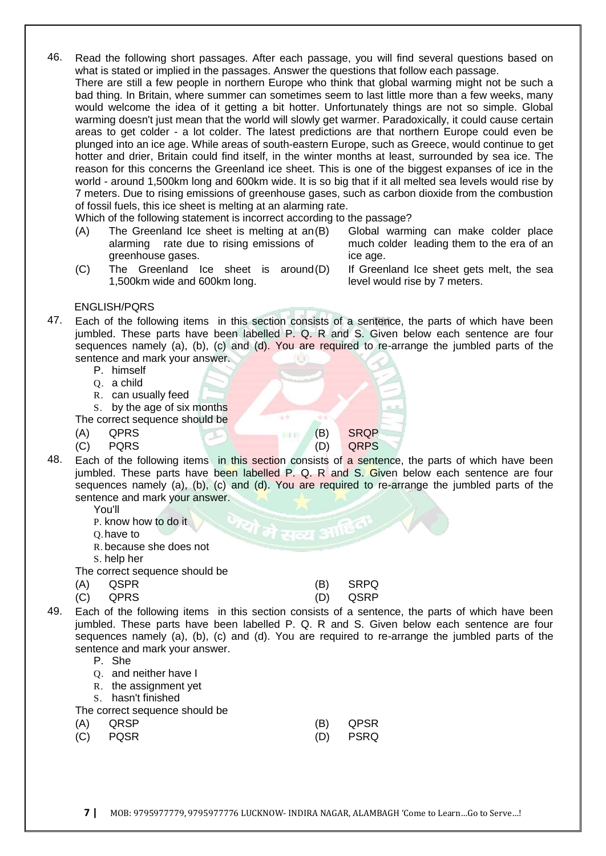46. Read the following short passages. After each passage, you will find several questions based on what is stated or implied in the passages. Answer the questions that follow each passage.

There are still a few people in northern Europe who think that global warming might not be such a bad thing. In Britain, where summer can sometimes seem to last little more than a few weeks, many would welcome the idea of it getting a bit hotter. Unfortunately things are not so simple. Global warming doesn't just mean that the world will slowly get warmer. Paradoxically, it could cause certain areas to get colder - a lot colder. The latest predictions are that northern Europe could even be plunged into an ice age. While areas of south-eastern Europe, such as Greece, would continue to get hotter and drier, Britain could find itself, in the winter months at least, surrounded by sea ice. The reason for this concerns the Greenland ice sheet. This is one of the biggest expanses of ice in the world - around 1,500km long and 600km wide. It is so big that if it all melted sea levels would rise by 7 meters. Due to rising emissions of greenhouse gases, such as carbon dioxide from the combustion of fossil fuels, this ice sheet is melting at an alarming rate.

Which of the following statement is incorrect according to the passage?

- $(A)$  The Greenland Ice sheet is melting at an $(B)$ alarming rate due to rising emissions of greenhouse gases.
- Global warming can make colder place much colder leading them to the era of an ice age.
- (C) The Greenland Ice sheet is around 1,500km wide and 600km long.
- If Greenland Ice sheet gets melt, the sea level would rise by 7 meters.

## ENGLISH/PQRS

- 47. Each of the following items in this section consists of a sentence, the parts of which have been jumbled. These parts have been labelled P. Q. R and S. Given below each sentence are four sequences namely (a), (b), (c) and (d). You are required to re-arrange the jumbled parts of the sentence and mark your answer.
	- P. himself
	- Q. a child
	- R. can usually feed

S. by the age of six months

The correct sequence should be

- (A) QPRS (B) SRQP
- (C) PQRS (D) QRPS
- 
- 48. Each of the following items in this section consists of a sentence, the parts of which have been jumbled. These parts have been labelled P. Q. R and S. Given below each sentence are four sequences namely (a), (b), (c) and (d). You are required to re-arrange the jumbled parts of the sentence and mark your answer.
	- You'll
	- P. know how to do it
	- Q.have to
	- R. because she does not
	- S. help her
	- The correct sequence should be
	- (A) QSPR (B) SRPQ

(C) QPRS (D) QSRP

- 49. Each of the following items in this section consists of a sentence, the parts of which have been jumbled. These parts have been labelled P. Q. R and S. Given below each sentence are four sequences namely (a), (b), (c) and (d). You are required to re-arrange the jumbled parts of the sentence and mark your answer.
	- P. She
	- Q. and neither have I
	- R. the assignment yet
	- S. hasn't finished
	- The correct sequence should be

| (A) QRSP | (B) QPSR |
|----------|----------|
| (C) PQSR | (D) PSRQ |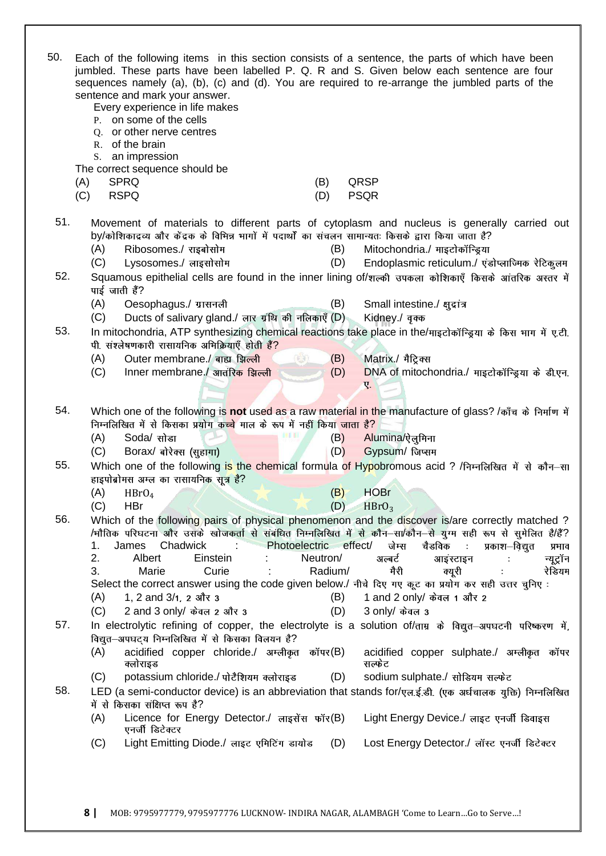| 50. | Each of the following items in this section consists of a sentence, the parts of which have been<br>jumbled. These parts have been labelled P. Q. R and S. Given below each sentence are four<br>sequences namely (a), (b), (c) and (d). You are required to re-arrange the jumbled parts of the<br>sentence and mark your answer.<br>Every experience in life makes<br>P. on some of the cells<br>Q. or other nerve centres<br>R. of the brain<br>S. an impression<br>The correct sequence should be<br><b>SPRQ</b><br>(A)<br>QRSP<br>(B)<br><b>RSPQ</b><br><b>PSQR</b><br>(C)<br>(D) |
|-----|----------------------------------------------------------------------------------------------------------------------------------------------------------------------------------------------------------------------------------------------------------------------------------------------------------------------------------------------------------------------------------------------------------------------------------------------------------------------------------------------------------------------------------------------------------------------------------------|
|     |                                                                                                                                                                                                                                                                                                                                                                                                                                                                                                                                                                                        |
| 51. | Movement of materials to different parts of cytoplasm and nucleus is generally carried out                                                                                                                                                                                                                                                                                                                                                                                                                                                                                             |
|     | by/कोशिकाद्रव्य और केंद्रक के विभिन्न भागों में पदार्थों का संचलन सामान्यतः किसके द्वारा किया जाता है?<br>Ribosomes./ राइबोसोम<br>(B)<br>Mitochondria./ माइटोकॉन्ड्रिया<br>(A)                                                                                                                                                                                                                                                                                                                                                                                                         |
|     | Endoplasmic reticulum./ एंडोप्लाज्मिक रेटिकुलम<br>(C)<br>Lysosomes./ लाइसोसोम<br>(D)                                                                                                                                                                                                                                                                                                                                                                                                                                                                                                   |
| 52. | Squamous epithelial cells are found in the inner lining of/शल्की उपकला कोशिकाएँ किसके आंतरिक अस्तर में                                                                                                                                                                                                                                                                                                                                                                                                                                                                                 |
|     | पाई जाती हैं?                                                                                                                                                                                                                                                                                                                                                                                                                                                                                                                                                                          |
|     | (B)<br>(A)<br>Oesophagus./ ग्रासनली<br>Small intestine./ क़ुद्रांत्र                                                                                                                                                                                                                                                                                                                                                                                                                                                                                                                   |
|     | (C)<br>Ducts of salivary gland./ लार ग्रंथि की नलिकाएँ (D)<br>Kidney./ वृक्क                                                                                                                                                                                                                                                                                                                                                                                                                                                                                                           |
| 53. | In mitochondria, ATP synthesizing chemical reactions take place in the/माइटोकॉन्ड्रिया के किस भाग में ए.टी.                                                                                                                                                                                                                                                                                                                                                                                                                                                                            |
|     | पी. संश्लेषणकारी रासायनिक अभिक्रियाएँ होती हैं?                                                                                                                                                                                                                                                                                                                                                                                                                                                                                                                                        |
|     | $(\leftrightarrow)$<br>Matrix./ मैट्रिक्स<br>(A)<br>Outer membrane./ बाह्य झिल्ली<br>(B)<br>Inner membrane./ आतंरिक झिल्ली<br>(D)<br>(C)<br>DNA of mitochondria./ माइटोकॉन्ड्रिया के डी.एन.                                                                                                                                                                                                                                                                                                                                                                                            |
|     | Ų.                                                                                                                                                                                                                                                                                                                                                                                                                                                                                                                                                                                     |
|     |                                                                                                                                                                                                                                                                                                                                                                                                                                                                                                                                                                                        |
| 54. | Which one of the following is not used as a raw material in the manufacture of glass? /काँच के निर्माण में                                                                                                                                                                                                                                                                                                                                                                                                                                                                             |
|     | निम्नलिखित में से किसका प्रयोग कच्चे माल के रूप में नहीं किया जाता है?                                                                                                                                                                                                                                                                                                                                                                                                                                                                                                                 |
|     | Soda/ सोडा<br>Alumina/ऐलुमिना<br>(A)<br>(B)                                                                                                                                                                                                                                                                                                                                                                                                                                                                                                                                            |
| 55. | Gypsum/ जिप्सम<br>Borax/ बोरेक्स (सूहागा)<br>(D)<br>(C)                                                                                                                                                                                                                                                                                                                                                                                                                                                                                                                                |
|     | Which one of the following is the chemical formula of Hypobromous acid? /निम्नलिखित में से कौन-सा<br>हाइपोब्रोमस अम्ल का रासायनिक सूत्र है?                                                                                                                                                                                                                                                                                                                                                                                                                                            |
|     | <b>HOBr</b><br>(A)<br>(B)<br>HBrO <sub>4</sub>                                                                                                                                                                                                                                                                                                                                                                                                                                                                                                                                         |
|     | (C)<br><b>HBr</b><br>$(D)$ HBrO <sub>3</sub>                                                                                                                                                                                                                                                                                                                                                                                                                                                                                                                                           |
| 56. | Which of the following pairs of physical phenomenon and the discover is/are correctly matched?                                                                                                                                                                                                                                                                                                                                                                                                                                                                                         |
|     | /मौतिक परिघटना और उसके खोजकर्ता से संबंधित निम्नलिखित में से कौन–सा/कौन–से यूग्म सही रूप से सुमेलित है/हैं?                                                                                                                                                                                                                                                                                                                                                                                                                                                                            |
|     | चैडविक<br>Chadwick<br>Photoelectric effect/<br>जेम्स<br>1.<br>James<br>$\sim 100$<br>प्रकाश—विद्युत<br>प्रभाव<br>2.<br>Albert<br>Neutron/<br>अल्बर्ट<br>Einstein                                                                                                                                                                                                                                                                                                                                                                                                                       |
|     | न्यूट्रॉन<br>आइंस्टाइन<br>3.<br>Radium/<br>Marie<br>Curie<br>मैरी<br>रेडियम<br>क्यूरी                                                                                                                                                                                                                                                                                                                                                                                                                                                                                                  |
|     | Select the correct answer using the code given below./ नीचे दिए गए कूट का प्रयोग कर सही उत्तर चुनिए:                                                                                                                                                                                                                                                                                                                                                                                                                                                                                   |
|     | 1 and 2 only/ केवल 1 और 2<br>1, 2 and $3/1$ , 2 और 3<br>(A)<br>(B)                                                                                                                                                                                                                                                                                                                                                                                                                                                                                                                     |
|     | (C)<br>2 and 3 only/ केवल 2 और 3<br>3 only/ केवल 3<br>(D)                                                                                                                                                                                                                                                                                                                                                                                                                                                                                                                              |
| 57. | In electrolytic refining of copper, the electrolyte is a solution of/ताम्र के विद्युत-अपघटनी परिष्करण में,                                                                                                                                                                                                                                                                                                                                                                                                                                                                             |
|     | विद्युत-अपघट्य निम्नलिखित में से किसका विलयन है?                                                                                                                                                                                                                                                                                                                                                                                                                                                                                                                                       |
|     | acidified copper chloride./ अम्लीकृत कॉपर(B)<br>(A)<br>acidified copper sulphate./ अम्लीकृत कॉपर<br>क्लोराइड<br>सल्फेट                                                                                                                                                                                                                                                                                                                                                                                                                                                                 |
|     | potassium chloride./ पोटैशियम क्लोराइड<br>sodium sulphate./ सोडियम सल्फेट<br>(C)<br>(D)                                                                                                                                                                                                                                                                                                                                                                                                                                                                                                |
| 58. | LED (a semi-conductor device) is an abbreviation that stands for/एल.ई.डी. (एक अर्धचालक युक्ति) निम्नलिखित                                                                                                                                                                                                                                                                                                                                                                                                                                                                              |
|     | में से किसका संक्षिप्त रूप है?                                                                                                                                                                                                                                                                                                                                                                                                                                                                                                                                                         |
|     | Licence for Energy Detector./ लाइसेंस फॉर(B)<br>(A)<br>Light Energy Device./ लाइट एनर्जी डिवाइस                                                                                                                                                                                                                                                                                                                                                                                                                                                                                        |
|     | एनर्जी डिटेक्टर<br>Light Emitting Diode./ लाइट एमिटिंग डायोड<br>Lost Energy Detector./ लॉस्ट एनर्जी डिटेक्टर                                                                                                                                                                                                                                                                                                                                                                                                                                                                           |
|     | (C)<br>(D)                                                                                                                                                                                                                                                                                                                                                                                                                                                                                                                                                                             |
|     |                                                                                                                                                                                                                                                                                                                                                                                                                                                                                                                                                                                        |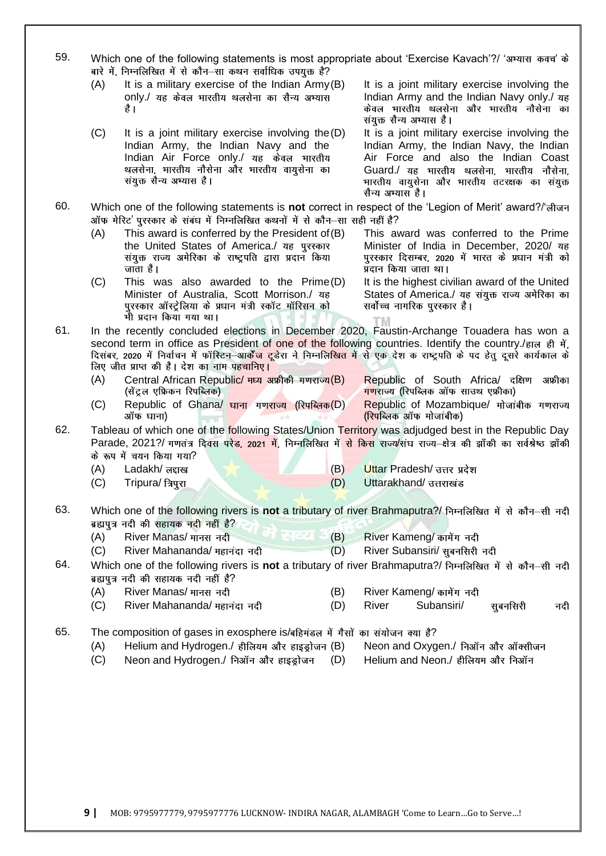| 59. |     | Which one of the following statements is most appropriate about 'Exercise Kavach'?/ 'अभ्यास कवच' के<br>बारे में, निम्नलिखित में से कौन-सा कथन सर्वाधिक उपयुक्त है?                                                                                                                                                                                                                              |     |                                                                                                                                                                                                                                                  |
|-----|-----|-------------------------------------------------------------------------------------------------------------------------------------------------------------------------------------------------------------------------------------------------------------------------------------------------------------------------------------------------------------------------------------------------|-----|--------------------------------------------------------------------------------------------------------------------------------------------------------------------------------------------------------------------------------------------------|
|     | (A) | It is a military exercise of the Indian Army (B)<br>only./ यह केवल भारतीय थलसेना का सैन्य अभ्यास<br>है ।                                                                                                                                                                                                                                                                                        |     | It is a joint military exercise involving the<br>Indian Army and the Indian Navy only./ यह<br>केवल भारतीय थलसेना और भारतीय नौसेना का<br>संयुक्त सैन्य अभ्यास है।                                                                                 |
|     | (C) | It is a joint military exercise involving the $(D)$<br>Indian Army, the Indian Navy and the<br>Indian Air Force only./ यह केवल भारतीय<br>थलसेना, भारतीय नौसेना और भारतीय वायुसेना का<br>संयुक्त सैन्य अभ्यास है।                                                                                                                                                                                |     | It is a joint military exercise involving the<br>Indian Army, the Indian Navy, the Indian<br>Air Force and also the Indian Coast<br>Guard./ यह भारतीय थलसेना, भारतीय नौसेना,<br>भारतीय वायुसेना और भारतीय तटरक्षक का संयुक्त<br>सैन्य अभ्यास है। |
| 60. |     | Which one of the following statements is not correct in respect of the 'Legion of Merit' award?/'लीजन<br>ऑफ मेरिट' पुरस्कार के संबंध में निम्नलिखित कथनों में से कौन-सा सही नहीं है?                                                                                                                                                                                                            |     |                                                                                                                                                                                                                                                  |
|     | (A) | This award is conferred by the President of (B)<br>the United States of America./ यह पुरस्कार<br>संयुक्त राज्य अमेरिका के राष्ट्रपति द्वारा प्रदान किया<br>जाता है।                                                                                                                                                                                                                             |     | This award was conferred to the Prime<br>Minister of India in December, 2020/ यह<br>पुरस्कार दिसम्बर, 2020 में भारत के प्रधान मंत्री को<br>प्रदान किया जाता था।                                                                                  |
|     | (C) | This was also awarded to the Prime(D)<br>Minister of Australia, Scott Morrison./ यह<br>पुरस्कार ऑस्ट्रेलिया के प्रधान मंत्री स्कॉट मॉरिसन को<br>भी प्रदान किया गया था।                                                                                                                                                                                                                          |     | It is the highest civilian award of the United<br>States of America./ यह संयुक्त राज्य अमेरिका का<br>सर्वोच्च नागरिक पुरस्कार है।                                                                                                                |
| 61. |     | In the recently concluded elections in December 2020, Faustin-Archange Touadera has won a<br>second term in office as President of one of the following countries. Identify the country./हाल ही में,<br>दिसंबर, 2020 में निर्वाचन में फॉस्टिन–आ <mark>र्केंज टूडे</mark> रा ने निम्नलिखित में से एक देश क राष्ट्रपति के पद हेतु दूसरे कार्यकाल के<br>लिए जीत प्राप्त की है। देश का नाम पहचानिए। |     |                                                                                                                                                                                                                                                  |
|     | (A) | Central African Republic/ मध्य अफ्रीकी गणराज्य(B)<br>(सेंट्रल एफ्रिकन रिपब्लिक)                                                                                                                                                                                                                                                                                                                 |     | Republic of South Africa/ दक्षिण अफ्रीका<br>गणराज्य (रिपब्लिक ऑफ साउथ एफ्रीका)                                                                                                                                                                   |
|     | (C) | Republic of Ghana/ घाना गणराज्य (रिपब्लिक (D)<br>ऑफ घाना)                                                                                                                                                                                                                                                                                                                                       |     | Republic of Mozambique/ मोजांबीक गणराज्य<br>(रिपब्लिक ऑफ मोजांबीक)                                                                                                                                                                               |
| 62. |     | Tableau of which one of the following States/Union Territory was adjudged best in the Republic Day<br>Parade, 2021?/ गणतंत्र दिवस परेड, 2021 में, निम्नलिखित में से किस राज्य/संघ राज्य–क्षेत्र की झाँकी का सर्वश्रेष्ठ झाँकी<br>के रूप में चयन किया गया?                                                                                                                                       |     |                                                                                                                                                                                                                                                  |
|     | (A) | Ladakh/ लद्दाख                                                                                                                                                                                                                                                                                                                                                                                  | (B) | Uttar Pradesh/ उत्तर प्रदेश                                                                                                                                                                                                                      |
|     | (C) | Tripura/ त्रिपुरा                                                                                                                                                                                                                                                                                                                                                                               | (D) | Uttarakhand/ उत्तराखंड                                                                                                                                                                                                                           |
| 63. |     | Which one of the following rivers is not a tributary of river Brahmaputra?/ निम्नलिखित में से कौन-सी नदी<br>ब्रह्मपुत्र नदी की सहायक नदी नहीं है?                                                                                                                                                                                                                                               |     |                                                                                                                                                                                                                                                  |
|     | (A) | ग स्ट्या<br>River Manas/ मानस नदी                                                                                                                                                                                                                                                                                                                                                               | (B) | River Kameng/ कामेंग नदी                                                                                                                                                                                                                         |
|     | (C) | River Mahananda/ महानंदा नदी                                                                                                                                                                                                                                                                                                                                                                    | (D) | River Subansiri/ सुबनसिरी नदी                                                                                                                                                                                                                    |
| 64. |     | Which one of the following rivers is not a tributary of river Brahmaputra?/ निम्नलिखित में से कौन-सी नदी<br>ब्रह्मपुत्र नदी की सहायक नदी नहीं है?                                                                                                                                                                                                                                               |     |                                                                                                                                                                                                                                                  |
|     | (A) | River Manas/ मानस नदी                                                                                                                                                                                                                                                                                                                                                                           | (B) | River Kameng/ कामेंग नदी                                                                                                                                                                                                                         |
|     | (C) | River Mahananda/ महानंदा नदी                                                                                                                                                                                                                                                                                                                                                                    | (D) | River<br>Subansiri/<br>सुबनसिरी<br>नदी                                                                                                                                                                                                           |
| 65. |     | The composition of gases in exosphere is/बहिमंडल में गैसों का संयोजन क्या है?                                                                                                                                                                                                                                                                                                                   |     |                                                                                                                                                                                                                                                  |
|     | (A) | Helium and Hydrogen./ हीलियम और हाइड्रोजन (B)                                                                                                                                                                                                                                                                                                                                                   |     | Neon and Oxygen./ निऑन और ऑक्सीजन                                                                                                                                                                                                                |
|     | (C) | Neon and Hydrogen./ निऑन और हाइड्रोजन                                                                                                                                                                                                                                                                                                                                                           | (D) | Helium and Neon./ हीलियम और निऑन                                                                                                                                                                                                                 |
|     |     |                                                                                                                                                                                                                                                                                                                                                                                                 |     |                                                                                                                                                                                                                                                  |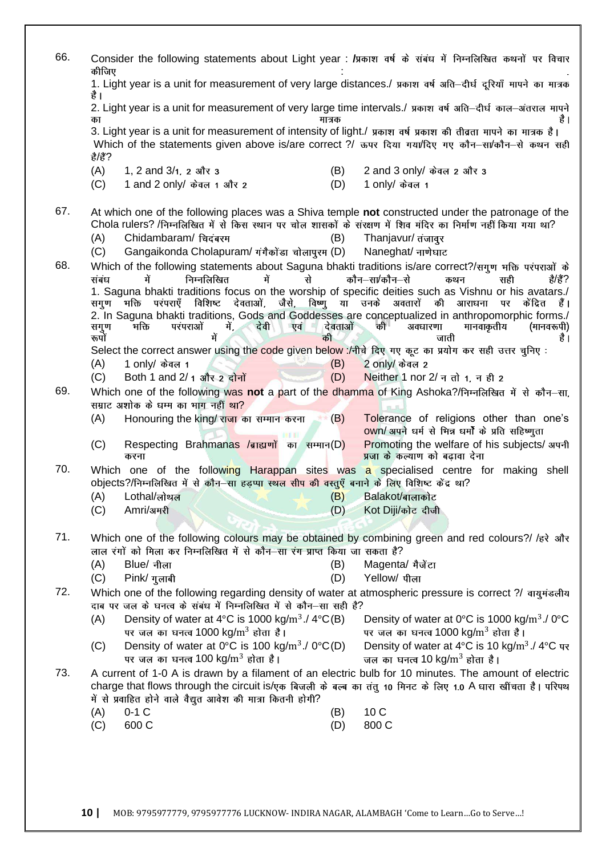| 66. | Consider the following statements about Light year : /प्रकाश वर्ष के संबंध में निम्नलिखित कथनों पर विचार<br>कीजिए                                                                                                                                   |               |                                                                                                             |
|-----|-----------------------------------------------------------------------------------------------------------------------------------------------------------------------------------------------------------------------------------------------------|---------------|-------------------------------------------------------------------------------------------------------------|
|     | 1. Light year is a unit for measurement of very large distances./ प्रकाश वर्ष अति–दीर्घ दूरियाँ मापने का मात्रक<br>है ।                                                                                                                             |               |                                                                                                             |
|     | 2. Light year is a unit for measurement of very large time intervals./ प्रकाश वर्ष अति–दीर्घ काल–अंतराल मापने<br>का                                                                                                                                 | मात्रक        | है ।                                                                                                        |
|     | 3. Light year is a unit for measurement of intensity of light./ प्रकाश वर्ष प्रकाश की तीव्रता मापने का मात्रक है।<br>Which of the statements given above is/are correct ?/ ऊपर दिया गया/दिए गए कौन-सा/कौन-से कथन सही<br>ぎぼ?                         |               |                                                                                                             |
|     | (A)<br>1, 2 and $3/1$ , 2 और 3<br>(C)<br>1 and 2 only/ केवल 1 और 2                                                                                                                                                                                  | (B)<br>(D)    | 2 and 3 only/ केवल 2 और 3<br>1 only/ केवल 1                                                                 |
|     |                                                                                                                                                                                                                                                     |               |                                                                                                             |
| 67. | At which one of the following places was a Shiva temple not constructed under the patronage of the<br>Chola rulers? /निम्नलिखित में से किस स्थान पर चोल शासकों के संरक्षण में शिव मंदिर का निर्माण नहीं किया गया था?<br>(A)<br>Chidambaram/ चिदंबरम | (B)           | Thanjavur/ तंजावूर                                                                                          |
|     | Gangaikonda Cholapuram/ गंगैकोंडा चोलापुरम (D)<br>(C)                                                                                                                                                                                               |               | Naneghat/ नाणेघाट                                                                                           |
| 68. | Which of the following statements about Saguna bhakti traditions is/are correct?/सगुण भक्ति परंपराओं के<br>में<br>में<br>निम्नलिखित<br>से<br>संबंध                                                                                                  |               | कौन–सा/कौन–से<br>सही<br>है/हैं?<br>कथन                                                                      |
|     | 1. Saguna bhakti traditions focus on the worship of specific deities such as Vishnu or his avatars./<br>ँमक्ति परंपराएँ विशिष्ट देवताओं, जैसे, विष्णु या उनके अवतारों की आराधना<br>सगुण                                                             |               | केंद्रित<br>हैं ।<br>पर                                                                                     |
|     | 2. In Saguna bhakti traditions, Gods and Goddesses are conceptualized in anthropomorphic forms./<br>परंपराओं<br>में,                                                                                                                                |               | की                                                                                                          |
|     | देवी<br>एवं<br>भक्ति<br>सगुण<br>रूपों<br>में                                                                                                                                                                                                        | देवताओं<br>की | (मानवरूपी)<br>अवधारणा<br>मानवाकृतीय<br>है ।<br>जाती                                                         |
|     | Select the correct answer using the code given below :/नीचे दिए गए कूट का प्रयोग कर सही उत्तर चुनिए:                                                                                                                                                |               |                                                                                                             |
|     | 1 only/ केवल 1<br>(A)<br>(C)<br>Both 1 and 2/1 और 2 दोनों                                                                                                                                                                                           | (B)<br>(D)    | $2$ only/ केवल 2<br>Neither 1 nor $2/\pi$ तो 1, न ही 2                                                      |
| 69. | Which one of the following was not a part of the dhamma of King Ashoka?/निम्नलिखित में से कौन-सा,                                                                                                                                                   |               |                                                                                                             |
|     | सम्राट अशोक के धम्म का भाग नहीं था?                                                                                                                                                                                                                 |               |                                                                                                             |
|     | (A)<br>Honouring the king/ राजा का सम्मान करना                                                                                                                                                                                                      | (B)           | Tolerance of religions other than one's<br>own/ अपने धर्म से भिन्न धर्मों के प्रति सहिष्णुता                |
|     | (C)<br>Respecting Brahmanas /बाह्यणों का सम्मान(D)<br>करना                                                                                                                                                                                          |               | Promoting the welfare of his subjects/ अपनी<br>प्रजा के कल्याण को बढावा देना                                |
| 70. | Which one of the following Harappan sites was a specialised centre for making shell<br>objects?/निम्नलिखित में से कौन-सा हड़प्पा स्थल सीप की वस्तुएँ बनाने के लिए विशिष्ट केंद्र था?                                                                |               |                                                                                                             |
|     | (A)<br>Lothal/लोथल                                                                                                                                                                                                                                  | (B)           | Balakot/बालाकोट                                                                                             |
|     | Amri/अमरी<br>(C)                                                                                                                                                                                                                                    | (D)           | Kot Diji/कोट दीजी                                                                                           |
| 71. | Which one of the following colours may be obtained by combining green and red colours?/ /हरे और                                                                                                                                                     |               |                                                                                                             |
|     | लाल रंगों को मिला कर निम्नलिखित में से कौन-सा रंग प्राप्त किया जा सकता है?                                                                                                                                                                          |               |                                                                                                             |
|     | (A)<br>Blue/ नीला                                                                                                                                                                                                                                   | (B)           | Magenta/ मैजेंटा                                                                                            |
| 72. | (C)<br>Pink/ गुलाबी<br>Which one of the following regarding density of water at atmospheric pressure is correct ?/ वायुमंडलीय                                                                                                                       | (D)           | Yellow/ पीला                                                                                                |
|     | दाब पर जल के घनत्व के संबंध में निम्नलिखित में से कौन–सा सही है?                                                                                                                                                                                    |               |                                                                                                             |
|     | (A)<br>Density of water at 4 <sup>o</sup> C is 1000 kg/m <sup>3</sup> ./ 4 <sup>o</sup> C(B)                                                                                                                                                        |               | Density of water at 0°C is 1000 kg/m <sup>3</sup> ./0°C                                                     |
|     | पर जल का घनत्व 1000 kg/m <sup>3</sup> होता है।<br>Density of water at $0^{\circ}$ C is 100 kg/m <sup>3</sup> ./ $0^{\circ}$ C(D)<br>(C)                                                                                                             |               | पर जल का घनत्व 1000 kg/m <sup>3</sup> होता है।<br>Density of water at 4°C is 10 kg/m <sup>3</sup> ./ 4°C पर |
|     | पर जल का घनत्व 100 kg/m <sup>3</sup> होता है।                                                                                                                                                                                                       |               | जल का घनत्व 10 kg/m <sup>3</sup> होता है।                                                                   |
| 73. | A current of 1-0 A is drawn by a filament of an electric bulb for 10 minutes. The amount of electric                                                                                                                                                |               |                                                                                                             |
|     | charge that flows through the circuit is/एक बिजली के बल्ब का तंतु 10 मिनट के लिए 1.0 A धारा खींचता है। परिपथ<br>में से प्रवाहित होने वाले वैद्युत आवेश की मात्रा कितनी होगी?                                                                        |               |                                                                                                             |
|     | $0-1$ C<br>(A)                                                                                                                                                                                                                                      | (B)           | 10 <sub>C</sub>                                                                                             |
|     | 600 C<br>(C)                                                                                                                                                                                                                                        | (D)           | 800 C                                                                                                       |
|     |                                                                                                                                                                                                                                                     |               |                                                                                                             |
|     |                                                                                                                                                                                                                                                     |               |                                                                                                             |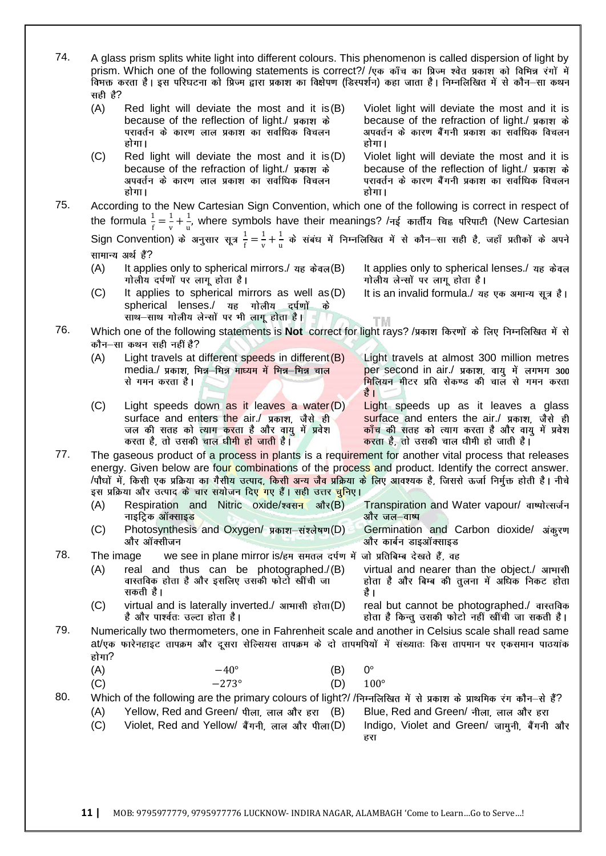| 74. | सही है?<br>(A) | A glass prism splits white light into different colours. This phenomenon is called dispersion of light by<br>prism. Which one of the following statements is correct?/ /एक काँच का प्रिज्म श्वेत प्रकाश को विभिन्न रंगों में<br>विभक्त करता है। इस परिघटना को प्रिज्म द्वारा प्रकाश का विक्षेपण (डिस्पर्शन) कहा जाता है। निम्नलिखित में से कौन—सा कथन<br>Red light will deviate the most and it is $(B)$<br>because of the reflection of light./ प्रकाश के | Violet light will deviate the most and it is<br>because of the refraction of light./ प्रकाश के                                                                                                |
|-----|----------------|------------------------------------------------------------------------------------------------------------------------------------------------------------------------------------------------------------------------------------------------------------------------------------------------------------------------------------------------------------------------------------------------------------------------------------------------------------|-----------------------------------------------------------------------------------------------------------------------------------------------------------------------------------------------|
|     |                | परावर्तन के कारण लाल प्रकाश का सर्वाधिक विचलन<br>होगा।                                                                                                                                                                                                                                                                                                                                                                                                     | अपवर्तन के कारण बैंगनी प्रकाश का सर्वाधिक विचलन<br>होगा।                                                                                                                                      |
|     | (C)            | Red light will deviate the most and it is $(D)$<br>because of the refraction of light./ प्रकाश के<br>अपवर्तन के कारण लाल प्रकाश का सर्वाधिक विचलन<br>होगा।                                                                                                                                                                                                                                                                                                 | Violet light will deviate the most and it is<br>because of the reflection of light./ प्रकाश के<br>परावर्तन के कारण बैंगनी प्रकाश का सर्वाधिक विचलन<br>होगा।                                   |
| 75. |                | According to the New Cartesian Sign Convention, which one of the following is correct in respect of<br>the formula $\frac{1}{f} = \frac{1}{v} + \frac{1}{v}$ , where symbols have their meanings? /नई कार्तीय चिह्न परिपाटी (New Cartesian                                                                                                                                                                                                                 |                                                                                                                                                                                               |
|     |                | Sign Convention) के अनुसार सूत्र $\frac{1}{f} = \frac{1}{v} + \frac{1}{v}$ के संबंध में निम्नलिखित में से कौन–सा सही है, जहाँ प्रतीकों के अपने<br>सामान्य अर्थ हैं?                                                                                                                                                                                                                                                                                        |                                                                                                                                                                                               |
|     | (A)            | It applies only to spherical mirrors./ यह केवल(B)<br>गोलीय दर्पणों पर लागू होता है।                                                                                                                                                                                                                                                                                                                                                                        | It applies only to spherical lenses./ यह केवल<br>गोलीय लेन्सों पर लागू होता है।                                                                                                               |
|     | (C)            | It applies to spherical mirrors as well as (D)<br>spherical lenses./ यह गोलीय दर्पणों<br>के<br>साथ-साथ गोलीय लेन्सों पर भी लागू होता है।                                                                                                                                                                                                                                                                                                                   | It is an invalid formula./ यह एक अमान्य सूत्र है।<br>T M.                                                                                                                                     |
| 76. |                | Which one of the following statements is Not correct for light rays? /प्रकाश किरणों के लिए निम्नलिखित में से<br>कौन–सा कथन सही नहीं है?                                                                                                                                                                                                                                                                                                                    |                                                                                                                                                                                               |
|     | (A)            | Light travels at different speeds in different (B)<br>media./ प्रकाश, भिन्न-भिन्न माध्यम में भिन्न-भिन्न चाल<br>से गमन करता है।                                                                                                                                                                                                                                                                                                                            | Light travels at almost 300 million metres<br>per second in air./ प्रकाश, वायु में लगभग 300<br>मिलियन मीटर प्रति सेकण्ड की चाल से गमन करता<br>है ।                                            |
|     | (C)            | Light speeds down as it leaves a water(D)<br>surface and enters the air./ प्रकाश, जैसे ही<br>जल की सतह को त्याग क <mark>र</mark> ता है और वायु में प्रवेश<br>करता है, तो उसकी चाल धीमी हो जाती है।                                                                                                                                                                                                                                                         | Light speeds up as it leaves a glass<br>surface and enters the air./ प्रकाश, जैसे ही<br><mark>काँच</mark> की सतह को त्याग करता है और वायु में प्रवेश<br>करता है, तो उसकी चाल धीमी हो जाती है। |
| 77. |                | The gaseous product of a process in plants is a requirement for another vital process that releases<br>energy. Given below are four combinations of the process and product. Identify the correct answer.<br>/पौधों में, किसी एक प्रक्रिया का गैसीय उत्पाद, किसी अन्य जैव प्रक्रिया के लिए आवश्यक है, जिससे ऊर्जा निर्मुक्त होती है। नीचे<br>इस प्रक्रिया और उत्पाद के चार सयोजन दिए गए हैं। सही उत्तर <mark>चु</mark> निए।                                |                                                                                                                                                                                               |
|     | (A)            | Respiration and Nitric oxide/श्वसन<br>ंऔर $(B)$<br>नाइट्रिक ऑक्साइड                                                                                                                                                                                                                                                                                                                                                                                        | Transpiration and Water vapour/ वाष्पोत्सर्जन<br>और जल– <mark>वाष्</mark> प                                                                                                                   |
|     | (C)            | Photosynthesis and Oxygen/ प्रकाश-संश्लेषण(D)<br>और ऑक्सीजन                                                                                                                                                                                                                                                                                                                                                                                                | Germination and Carbon dioxide/ अंकुरण<br>और कार्बन डाइऑक्साइड                                                                                                                                |
| 78. |                | we see in plane mirror is/हम समतल दर्पण में जो प्रतिबिम्ब देखते हैं, वह<br>The image                                                                                                                                                                                                                                                                                                                                                                       |                                                                                                                                                                                               |
|     | (A)            | real and thus can be photographed./(B)<br>वास्तविक होता है और इसलिए उसकी फोर्टो खींची जा<br>सकती है।                                                                                                                                                                                                                                                                                                                                                       | virtual and nearer than the object./ आभासी<br>होता है और बिम्ब की तुलना में अधिक निकट होता<br>है ।                                                                                            |
|     | (C)            | virtual and is laterally inverted./ $\sin(\theta)$<br>है और पार्श्वतः उल्टा होता है।                                                                                                                                                                                                                                                                                                                                                                       | real but cannot be photographed./ वास्तविक<br>होता है किन्तु उसकी फोटो नहीं खींची जा सकती है।                                                                                                 |
| 79. | होगा?          | Numerically two thermometers, one in Fahrenheit scale and another in Celsius scale shall read same<br>at/एक फारेनहाइट तापक्रम और दूसरा सेल्सियस तापक्रम के दो तापमपियों में संख्यातः किस तापमान पर एकसमान पाठयांक                                                                                                                                                                                                                                          |                                                                                                                                                                                               |
|     | (A)            | $-40^{\circ}$<br>(B)<br>$-273^\circ$                                                                                                                                                                                                                                                                                                                                                                                                                       | $0^{\circ}$                                                                                                                                                                                   |
| 80. | (C)            | (D)<br>Which of the following are the primary colours of light?/ /निम्नलिखित में से प्रकाश के प्राथमिक रंग कौन-से हैं?                                                                                                                                                                                                                                                                                                                                     | $100^\circ$                                                                                                                                                                                   |
|     | (A)<br>(C)     | Yellow, Red and Green/ पीला, लाल और हरा (B)<br>Violet, Red and Yellow/ बैंगनी, लाल और पीला(D)                                                                                                                                                                                                                                                                                                                                                              | Blue, Red and Green/ नीला, लाल और हरा<br>Indigo, Violet and Green/ जामुनी, बैंगनी और<br>हरा                                                                                                   |
|     |                |                                                                                                                                                                                                                                                                                                                                                                                                                                                            |                                                                                                                                                                                               |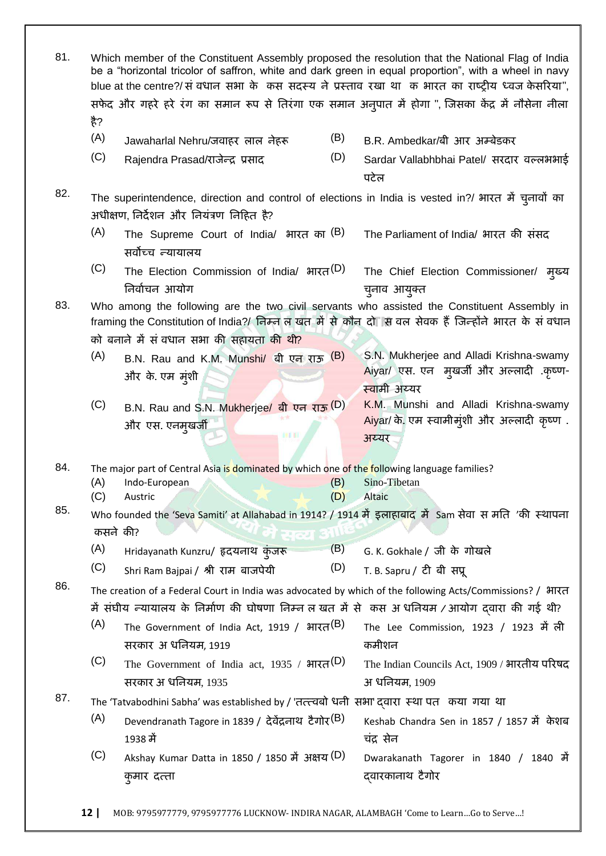| 81. | है?        |                                                                                                                                                |            | Which member of the Constituent Assembly proposed the resolution that the National Flag of India<br>be a "horizontal tricolor of saffron, white and dark green in equal proportion", with a wheel in navy<br>blue at the centre?/ सं वधान सभा के कस सदस्य ने प्रस्ताव रखा था क भारत का राष्ट्रीय ध्वज केसरिया",<br>सफेद और गहरे हरे रंग का समान रूप से तिरंगा एक समान अनुपात में होगा ", जिसका केंद्र में नौसेना नीला |
|-----|------------|------------------------------------------------------------------------------------------------------------------------------------------------|------------|-----------------------------------------------------------------------------------------------------------------------------------------------------------------------------------------------------------------------------------------------------------------------------------------------------------------------------------------------------------------------------------------------------------------------|
|     | (A)        | Jawaharlal Nehru/जवाहर लाल नेहरू                                                                                                               | (B)        | B.R. Ambedkar/बी आर अम्बेडकर                                                                                                                                                                                                                                                                                                                                                                                          |
|     | (C)        | Rajendra Prasad/राजेन्द्र प्रसाद                                                                                                               | (D)        | Sardar Vallabhbhai Patel/ सरदार वल्लभभाई                                                                                                                                                                                                                                                                                                                                                                              |
|     |            |                                                                                                                                                |            | पटेल                                                                                                                                                                                                                                                                                                                                                                                                                  |
| 82. |            | The superintendence, direction and control of elections in India is vested in?/ भारत में चुनावों का<br>अधीक्षण, निर्देशन और नियंत्रण निहित है? |            |                                                                                                                                                                                                                                                                                                                                                                                                                       |
|     | (A)        | The Supreme Court of India/ भारत का (B)<br>सर्वोच्च न्यायालय                                                                                   |            | The Parliament of India/ भारत की संसद                                                                                                                                                                                                                                                                                                                                                                                 |
|     | (C)        | The Election Commission of India/ भारत <sup>(D)</sup><br>निर्वाचन आयोग                                                                         |            | The Chief Election Commissioner/ मुख्य<br>च्नाव आयुक्त                                                                                                                                                                                                                                                                                                                                                                |
| 83. |            | को बनाने में सं वधान सभा की सहायता <mark>की थी?</mark>                                                                                         |            | Who among the following are the two civil servants who assisted the Constituent Assembly in<br>framing the Constitution of India?/ निम्न ल खत में से कौन दो सि वल सेवक हैं जिन्होंने भारत के सं वधान                                                                                                                                                                                                                  |
|     | (A)        | B.N. Rau and K.M. Munshi/ बी एन राऊ (B)<br>और के एम मुंशी                                                                                      |            | S.N. Mukherjee and Alladi Krishna-swamy<br>Aiyar/ एस. एन मुखर्जी और अल्लादी .कृष्ण-<br>स्वामी अय्यर                                                                                                                                                                                                                                                                                                                   |
|     | (C)        | B.N. Rau and S.N. Mukherjee/ बी एन राऊ (D)<br>और एस. एनमुखर्जी<br>BH BI                                                                        |            | K.M. Munshi and Alladi Krishna-swamy<br>Aiyar/ के. एम स्वामीमुंशी और अल्लादी कृष्ण.<br>अय्यर                                                                                                                                                                                                                                                                                                                          |
| 84. |            |                                                                                                                                                |            |                                                                                                                                                                                                                                                                                                                                                                                                                       |
|     | (A)<br>(C) | The major part of Central Asia is dominated by which one of the following language families?<br>Indo-European<br>Austric                       | (B)<br>(D) | Sino-Tibetan<br><b>Altaic</b>                                                                                                                                                                                                                                                                                                                                                                                         |
| 85. |            |                                                                                                                                                |            | Who founded the 'Seva Samiti' at Allahabad in 1914? / 1914 में इलाहाबाद में Sam सेवा स मति 'की स्थापना                                                                                                                                                                                                                                                                                                                |
|     | कसने की?   | प्रत्य की                                                                                                                                      |            |                                                                                                                                                                                                                                                                                                                                                                                                                       |
|     | (A)        | Hridayanath Kunzru/ हृदयनाथ कुंजरू                                                                                                             | (B)        | G. K. Gokhale / जी के गोखले                                                                                                                                                                                                                                                                                                                                                                                           |
|     | (C)        | Shri Ram Bajpai / श्री राम बाजपेयी                                                                                                             | (D)        | T. B. Sapru / टी बी सप्रू                                                                                                                                                                                                                                                                                                                                                                                             |
| 86. |            | में संघीय न्यायालय के निर्माण की घोषणा निम्न ल खत में से  कस अ धनियम / आयोग दवारा की गई थी?                                                    |            | The creation of a Federal Court in India was advocated by which of the following Acts/Commissions? / भारत                                                                                                                                                                                                                                                                                                             |
|     | (A)        | The Government of India Act, 1919 / भारत <sup>(B)</sup><br>सरकार अधनियम, 1919                                                                  |            | The Lee Commission, 1923 / 1923 में ली<br>कमीशन                                                                                                                                                                                                                                                                                                                                                                       |
|     | (C)        | The Government of India act, 1935 / $\text{HT}(\mathsf{D})$<br>सरकार अ धनियम, 1935                                                             |            | The Indian Councils Act, 1909 / भारतीय परिषद<br>अ धनियम, 1909                                                                                                                                                                                                                                                                                                                                                         |
| 87. |            | The 'Tatvabodhini Sabha' was established by / 'तत्त्त्वबो धनी सभा' दवारा स्था पत कया गया था                                                    |            |                                                                                                                                                                                                                                                                                                                                                                                                                       |
|     | (A)        | Devendranath Tagore in 1839 / देवेंद्रनाथ टैगोर (B)<br>1938 में                                                                                |            | Keshab Chandra Sen in 1857 / 1857 में केशब<br>चंद्र सेन                                                                                                                                                                                                                                                                                                                                                               |
|     | (C)        | Akshay Kumar Datta in 1850 / 1850 में अक्षय (D)<br>कुमार दत्त्ता                                                                               |            | Dwarakanath Tagorer in 1840 / 1840 में<br>दवारकानाथ टैगोर                                                                                                                                                                                                                                                                                                                                                             |
|     |            |                                                                                                                                                |            |                                                                                                                                                                                                                                                                                                                                                                                                                       |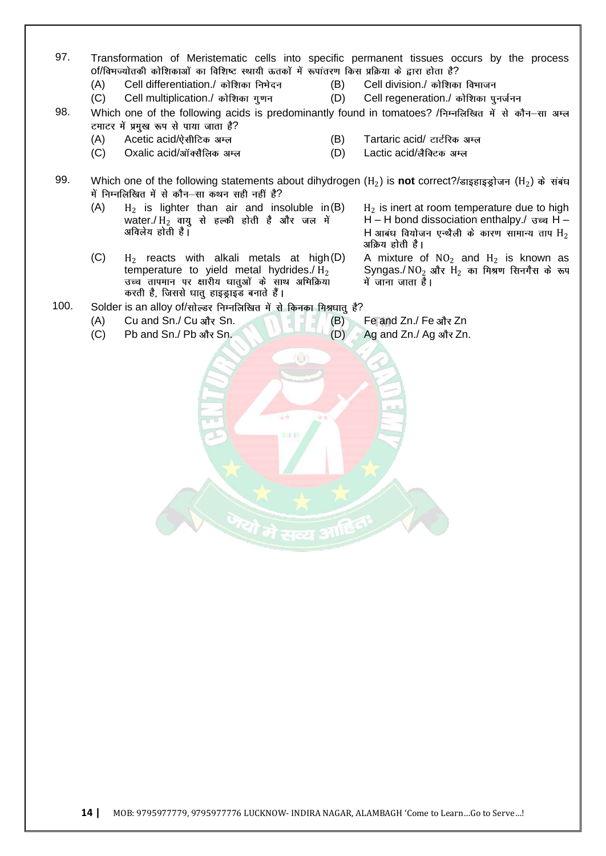- 97. Transformation of Meristematic cells into specific permanent tissues occurs by the process of/विभज्योतकी कोशिकाओं का विशिष्ट स्थायी ऊतकों में रूपांतरण किस प्रक्रिया के द्वारा होता है?  $(A)$  Cell differentiation./ कोशिका निभेदन (B) Cell division./ कोशिका विभाजन
	-
	- (C) Cell multiplication./ कोशिका गुणन (D) Cell regeneration./ कोशिका पुनर्जनन
- 98. Which one of the following acids is predominantly found in tomatoes? /निम्नलिखित में से कौन-सा अम्ल टमाटर में प्रमुख रूप से पाया जाता है?
	-
	- (C) Oxalic acid/ऑक्सैलिक अम्ल (D) Lactic acid/लैक्टिक अम्ल
	- (A) Acetic acid/ऐसीटिक अम्ल (B) Tartaric acid/ टार्टरिक अम्ल
		-

99. Which one of the following statements about dihydrogen (H<sup>2</sup> ) is **not** correct?/ (H<sup>2</sup> ) में निम्नलिखित में से कौन-सा कथन सही नहीं है?

- $(A)$ is lighter than air and insoluble in(B)  $H_2$ water./ $\rm H_2$  वायु से हल्की होती है और जल में<br>अविलेय होती है।
- $(C)$  $H_2$  reacts with alkali metals at high $(D)$ temperature to yield metal hydrides./ $H_2$  उच्च तापमान पर क्षारीय धातुओं के साथ अभिक्रिया करती है, जिससे धातु हाइड्राइड बनाते हैं।

 $H<sub>2</sub>$  is inert at room temperature due to high H – H bond dissociation enthalpy./  $\overline{3}$  or H – H आबंध वियोजन एन्थैली के कारण सामान्य ताप  $\rm H_2$ <br>अक्रिय होती है।

(D) A mixture of  $NO<sub>2</sub>$  and  $H<sub>2</sub>$  is known as Syngas./  $NO<sub>2</sub>$  और  $H<sub>2</sub>$  का मिश्रण सिनगैस के रूप<br>में जाना जाता है।

100. Solder is an alloy of/सोल्डर निम्नलिखित में से किनका मिश्रधात् है?

- $(A)$  Cu and Sn./ Cu site Sn. (B) Fe and Zn./ Fe site Zn
- 
- 
- 

(C) Pb and Sn./ Pb और Sn. (D) Ag and Zn./ Ag और Zn.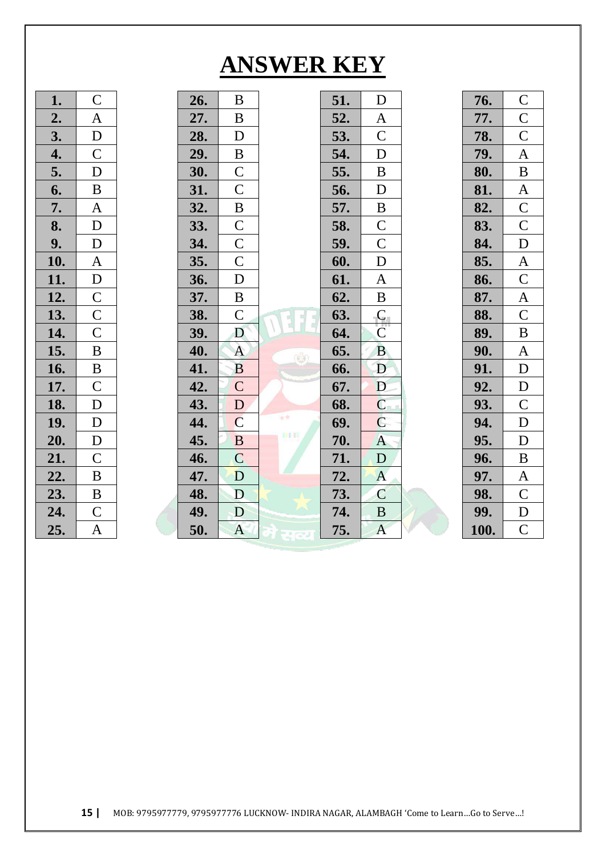## **ANSWER KEY**

| $\mathsf{C}$   | 26. | $\bf{B}$         | 51.                              | D                                    | 76.  | $\mathbf C$      |
|----------------|-----|------------------|----------------------------------|--------------------------------------|------|------------------|
| $\mathbf{A}$   | 27. | $\, {\bf B}$     | 52.                              | $\mathbf{A}$                         | 77.  | $\mathbf C$      |
| D              | 28. | D                | 53.                              | $\mathbf C$                          | 78.  | $\mathcal{C}$    |
| $\overline{C}$ | 29. | $\, {\bf B}$     | 54.                              | D                                    | 79.  | A                |
| D              | 30. | $\mathbf C$      | 55.                              | B                                    | 80.  | $\bf{B}$         |
| $\bf{B}$       | 31. | $\mathsf{C}$     | 56.                              | D                                    | 81.  | $\mathbf{A}$     |
| A              | 32. | $\, {\bf B}$     | 57.                              | $\bf{B}$                             | 82.  | $\mathsf C$      |
| D              | 33. | $\mathcal{C}$    | 58.                              | $\mathbf C$                          | 83.  | $\mathcal{C}$    |
| $\mathbf D$    | 34. | $\mathsf C$      | 59.                              | $\mathbf C$                          | 84.  | ${\bf D}$        |
| $\mathbf{A}$   | 35. | $\mathsf{C}$     | 60.                              | $\mathbf D$                          | 85.  | $\mathbf{A}$     |
| ${\bf D}$      | 36. | $\mathbf D$      | 61.                              | $\mathbf{A}$                         | 86.  | $\mathcal{C}$    |
| $\mathsf C$    | 37. | $\, {\bf B}$     | 62.                              | $\, {\bf B}$                         | 87.  | $\boldsymbol{A}$ |
| $\mathcal{C}$  | 38. | $\mathbf C$      | 63.                              | $\mathsf{C}_{\scriptscriptstyle{0}}$ | 88.  | $\mathbf C$      |
| $\mathcal{C}$  | 39. | D                | 64.                              | $\overline{C}$                       | 89.  | $\, {\bf B}$     |
| $\, {\bf B}$   | 40. | $\mathbf{A}$     | 65.                              | <b>B</b>                             | 90.  | $\mathbf{A}$     |
| $\, {\bf B}$   | 41. | $\overline{B}$   | 66.                              | D                                    | 91.  | D                |
| $\mathcal{C}$  | 42. | $\mathsf{C}$     | 67.                              | D                                    | 92.  | D                |
| D              | 43. | D                | 68.                              | $\mathbf C$                          | 93.  | $\mathbf C$      |
| $\mathbf D$    | 44. | $\mathbf C$      | 69.                              | $\overline{C}$                       | 94.  | D                |
| $\mathbf D$    | 45. | $\bf{B}$         | 70.                              | $\mathbf{A}$                         | 95.  | D                |
| $\mathcal{C}$  | 46. | $\overline{C}$   | 71.                              | ${\bf D}$                            | 96.  | $\bf{B}$         |
| $\, {\bf B}$   | 47. | D                | 72.                              | $\mathbf{A}$                         | 97.  | $\mathbf{A}$     |
| $\, {\bf B}$   | 48. | D                | 73.                              | $\mathbf C$                          | 98.  | $\mathcal{C}$    |
| $\mathcal{C}$  | 49. | D                | 74.                              | $\, {\bf B}$                         | 99.  | $\mathbf D$      |
| $\mathbf{A}$   | 50. | $\boldsymbol{A}$ | 75.                              | $\mathbf{A}$                         | 100. | $\mathcal{C}$    |
|                |     |                  | $\mathbb{C}$<br>大大<br><b>BIT</b> |                                      |      |                  |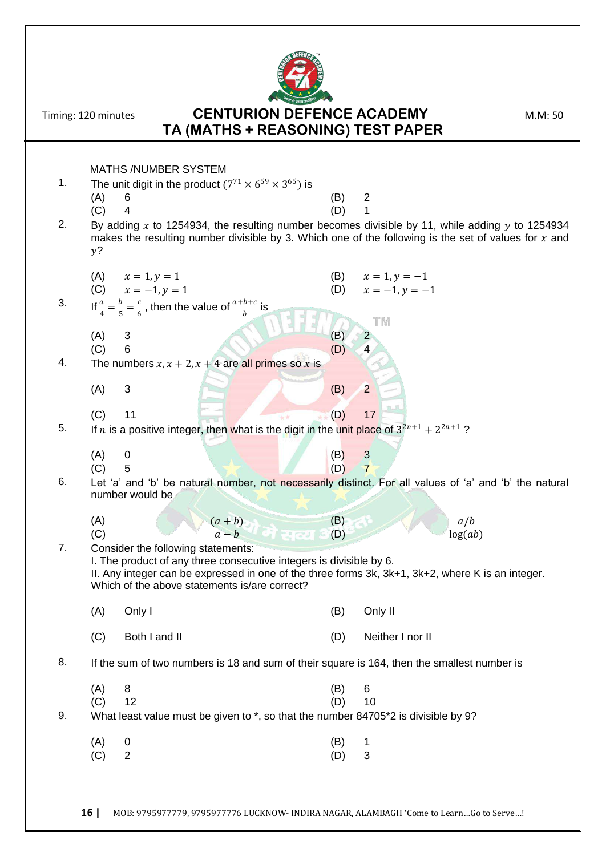

## Timing: 120 minutes **CENTURION DEFENCE ACADEMY** M.M: 50 **TA (MATHS + REASONING) TEST PAPER**

|    | <b>MATHS /NUMBER SYSTEM</b>                                                                                                                                                                                                                                     |                                                   |  |
|----|-----------------------------------------------------------------------------------------------------------------------------------------------------------------------------------------------------------------------------------------------------------------|---------------------------------------------------|--|
| 1. | The unit digit in the product $(7^{71} \times 6^{59} \times 3^{65})$ is                                                                                                                                                                                         |                                                   |  |
|    | (A)<br>6<br>(C)<br>4                                                                                                                                                                                                                                            | (B)<br>2<br>(D)<br>1                              |  |
| 2. | By adding x to 1254934, the resulting number becomes divisible by 11, while adding y to 1254934                                                                                                                                                                 |                                                   |  |
|    | makes the resulting number divisible by 3. Which one of the following is the set of values for $x$ and<br>$y$ ?                                                                                                                                                 |                                                   |  |
|    |                                                                                                                                                                                                                                                                 |                                                   |  |
|    | (A) $x = 1, y = 1$<br>(C) $x = -1, y = 1$                                                                                                                                                                                                                       | (B)<br>$x = 1, y = -1$<br>$x = -1, y = -1$<br>(D) |  |
| 3. | If $\frac{a}{4} = \frac{b}{5} = \frac{c}{6}$ , then the value of $\frac{a+b+c}{b}$ is                                                                                                                                                                           |                                                   |  |
|    | (A)<br>3                                                                                                                                                                                                                                                        | TM<br>(B)<br>2                                    |  |
|    | 6<br>(C)                                                                                                                                                                                                                                                        | (D)<br>4                                          |  |
| 4. | The numbers $x, x + 2, x + 4$ are all primes so x is                                                                                                                                                                                                            |                                                   |  |
|    | 3<br>(A)                                                                                                                                                                                                                                                        | $\overline{2}$<br>(B)                             |  |
|    | (C)<br>11                                                                                                                                                                                                                                                       | 17<br>(D)                                         |  |
| 5. | If <i>n</i> is a positive integer, then what is the digit in the unit place of $3^{2n+1} + 2^{2n+1}$ ?                                                                                                                                                          |                                                   |  |
|    | (A)<br>0                                                                                                                                                                                                                                                        | (B)<br>$\mathbf{3}$                               |  |
| 6. | (C)<br>5<br>Let 'a' and 'b' be natural number, not necessarily distinct. For all values of 'a' and 'b' the natural                                                                                                                                              | $\overline{7}$<br>(D)                             |  |
|    |                                                                                                                                                                                                                                                                 |                                                   |  |
|    | number would be                                                                                                                                                                                                                                                 |                                                   |  |
|    | (A)                                                                                                                                                                                                                                                             | (B)<br>a/b                                        |  |
|    | $\frac{(a+b)}{a-b}$<br>(C)                                                                                                                                                                                                                                      | (D)<br>log(ab)                                    |  |
| 7. | Consider the following statements:<br>I. The product of any three consecutive integers is divisible by 6.<br>II. Any integer can be expressed in one of the three forms 3k, 3k+1, 3k+2, where K is an integer.<br>Which of the above statements is/are correct? |                                                   |  |
|    | Only I<br>(A)                                                                                                                                                                                                                                                   | Only II<br>(B)                                    |  |
|    | (C)<br>Both I and II                                                                                                                                                                                                                                            | Neither I nor II<br>(D)                           |  |
| 8. | If the sum of two numbers is 18 and sum of their square is 164, then the smallest number is                                                                                                                                                                     |                                                   |  |
|    | 8<br>(A)                                                                                                                                                                                                                                                        | 6<br>(B)                                          |  |
|    | 12<br>(C)                                                                                                                                                                                                                                                       | (D)<br>10                                         |  |
| 9. | What least value must be given to *, so that the number 84705*2 is divisible by 9?                                                                                                                                                                              |                                                   |  |
|    | (A)<br>0<br>$\overline{2}$<br>(C)                                                                                                                                                                                                                               | (B)<br>1<br>3<br>(D)                              |  |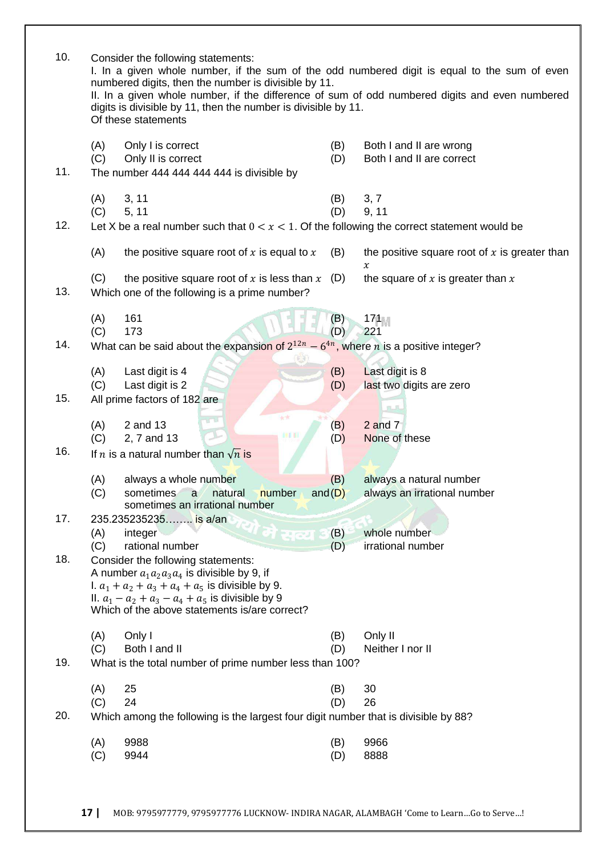| 10. | Consider the following statements:<br>I. In a given whole number, if the sum of the odd numbered digit is equal to the sum of even<br>numbered digits, then the number is divisible by 11.<br>II. In a given whole number, if the difference of sum of odd numbered digits and even numbered<br>digits is divisible by 11, then the number is divisible by 11.<br>Of these statements |                                                                                                                                                                                                                                                    |                  |                                                        |  |  |
|-----|---------------------------------------------------------------------------------------------------------------------------------------------------------------------------------------------------------------------------------------------------------------------------------------------------------------------------------------------------------------------------------------|----------------------------------------------------------------------------------------------------------------------------------------------------------------------------------------------------------------------------------------------------|------------------|--------------------------------------------------------|--|--|
| 11. | (A)<br>(C)                                                                                                                                                                                                                                                                                                                                                                            | Only I is correct<br>Only II is correct<br>The number 444 444 444 444 is divisible by                                                                                                                                                              | (B)<br>(D)       | Both I and II are wrong<br>Both I and II are correct   |  |  |
| 12. | (A)<br>(C)                                                                                                                                                                                                                                                                                                                                                                            | 3, 11<br>5, 11<br>Let X be a real number such that $0 < x < 1$ . Of the following the correct statement would be                                                                                                                                   | (B)<br>(D)       | 3, 7<br>9, 11                                          |  |  |
|     | (A)                                                                                                                                                                                                                                                                                                                                                                                   | the positive square root of $x$ is equal to $x$                                                                                                                                                                                                    | (B)              | the positive square root of $x$ is greater than        |  |  |
| 13. | (C)                                                                                                                                                                                                                                                                                                                                                                                   | the positive square root of x is less than $x$ (D)<br>Which one of the following is a prime number?                                                                                                                                                |                  | $\chi$<br>the square of $x$ is greater than $x$        |  |  |
| 14. | (A)<br>(C)                                                                                                                                                                                                                                                                                                                                                                            | 161<br>173                                                                                                                                                                                                                                         | (B)<br>(D)       | 171M<br>221                                            |  |  |
|     |                                                                                                                                                                                                                                                                                                                                                                                       | What can be said about the expansion of $2^{12n} - 6^{4n}$ , where <i>n</i> is a positive integer?                                                                                                                                                 |                  |                                                        |  |  |
|     | (A)<br>(C)                                                                                                                                                                                                                                                                                                                                                                            | Last digit is 4<br>Last digit is 2                                                                                                                                                                                                                 | (B)<br>(D)       | Last digit is 8<br>last two digits are zero            |  |  |
| 15. |                                                                                                                                                                                                                                                                                                                                                                                       | All prime factors of 182 are                                                                                                                                                                                                                       |                  | 机儿                                                     |  |  |
|     | (A)<br>(C)                                                                                                                                                                                                                                                                                                                                                                            | 女女<br>2 and 13<br>BH B<br>2, 7 and 13                                                                                                                                                                                                              | (B)<br>(D)       | $2$ and $7$<br>None of these                           |  |  |
| 16. |                                                                                                                                                                                                                                                                                                                                                                                       | If <i>n</i> is a natural number than $\sqrt{n}$ is                                                                                                                                                                                                 |                  |                                                        |  |  |
|     | (A)<br>(C)                                                                                                                                                                                                                                                                                                                                                                            | always a whole number<br>sometimes<br>number<br>natural<br>a<br>sometimes an irrational number                                                                                                                                                     | (B)<br>and $(D)$ | always a natural number<br>always an irrational number |  |  |
| 17. |                                                                                                                                                                                                                                                                                                                                                                                       | 235.235235235 is a/an                                                                                                                                                                                                                              |                  |                                                        |  |  |
|     | (A)<br>(C)                                                                                                                                                                                                                                                                                                                                                                            | integer<br>rational number                                                                                                                                                                                                                         | (B)<br>(D)       | whole number<br>irrational number                      |  |  |
| 18. |                                                                                                                                                                                                                                                                                                                                                                                       | Consider the following statements:<br>A number $a_1a_2a_3a_4$ is divisible by 9, if<br>1. $a_1 + a_2 + a_3 + a_4 + a_5$ is divisible by 9.<br>II. $a_1 - a_2 + a_3 - a_4 + a_5$ is divisible by 9<br>Which of the above statements is/are correct? |                  |                                                        |  |  |
|     | (A)                                                                                                                                                                                                                                                                                                                                                                                   | Only I                                                                                                                                                                                                                                             | (B)              | Only II                                                |  |  |
| 19. | (C)                                                                                                                                                                                                                                                                                                                                                                                   | Both I and II<br>What is the total number of prime number less than 100?                                                                                                                                                                           | (D)              | Neither I nor II                                       |  |  |
|     | (A)                                                                                                                                                                                                                                                                                                                                                                                   | 25                                                                                                                                                                                                                                                 | (B)              | 30                                                     |  |  |
| 20. | (C)                                                                                                                                                                                                                                                                                                                                                                                   | 24<br>Which among the following is the largest four digit number that is divisible by 88?                                                                                                                                                          | (D)              | 26                                                     |  |  |
|     | (A)<br>(C)                                                                                                                                                                                                                                                                                                                                                                            | 9988<br>9944                                                                                                                                                                                                                                       | (B)<br>(D)       | 9966<br>8888                                           |  |  |
|     |                                                                                                                                                                                                                                                                                                                                                                                       |                                                                                                                                                                                                                                                    |                  |                                                        |  |  |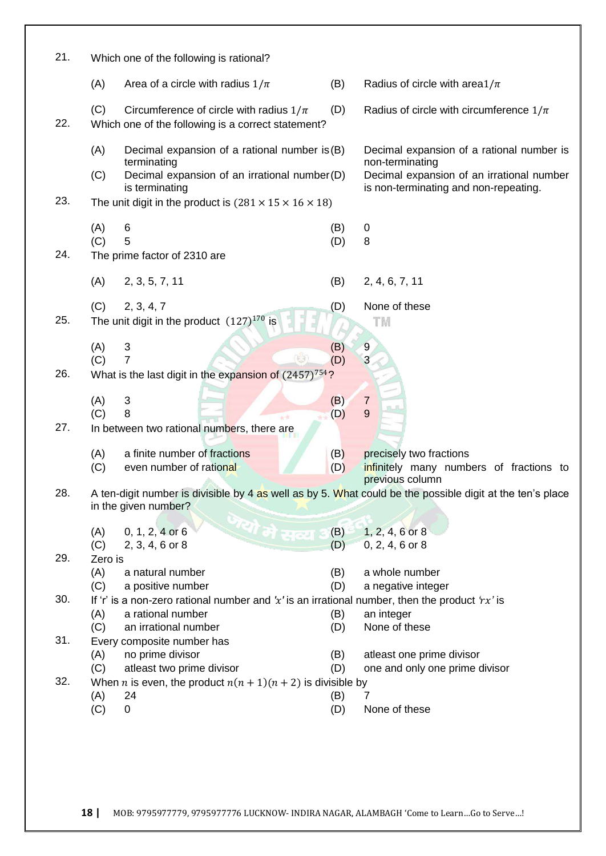| 21. | Which one of the following is rational?                                                                                                                |                                                                                                           |
|-----|--------------------------------------------------------------------------------------------------------------------------------------------------------|-----------------------------------------------------------------------------------------------------------|
|     | (A)<br>Area of a circle with radius $1/\pi$<br>(B)                                                                                                     | Radius of circle with area $1/\pi$                                                                        |
| 22. | (C)<br>Circumference of circle with radius $1/\pi$<br>(D)<br>Which one of the following is a correct statement?                                        | Radius of circle with circumference $1/\pi$                                                               |
|     | (A)<br>Decimal expansion of a rational number is (B)<br>terminating<br>Decimal expansion of an irrational number(D)<br>(C)                             | Decimal expansion of a rational number is<br>non-terminating<br>Decimal expansion of an irrational number |
| 23. | is terminating<br>The unit digit in the product is $(281 \times 15 \times 16 \times 18)$                                                               | is non-terminating and non-repeating.                                                                     |
| 24. | (A)<br>6<br>(B)<br>5<br>(C)<br>(D)<br>The prime factor of 2310 are                                                                                     | 0<br>8                                                                                                    |
|     | (A)<br>2, 3, 5, 7, 11<br>(B)                                                                                                                           | 2, 4, 6, 7, 11                                                                                            |
| 25. | (C)<br>2, 3, 4, 7<br>(D)<br>The unit digit in the product $(127)^{170}$ is                                                                             | None of these<br>TΜ                                                                                       |
| 26. | $\ensuremath{\mathsf{3}}$<br>(B)<br>(A)<br>(C)<br>7<br>(D)<br>What is the last digit in the expansion of $(2457)^{754}$ ?                              | $\overline{9}$<br>3                                                                                       |
| 27. | (A)<br>$\mathfrak{S}$<br>(B)<br>8<br>(C)<br>(D)<br>In between two rational numbers, there are                                                          | $\overline{7}$<br>9                                                                                       |
|     | a finite number of fractions<br>(B)<br>(A)<br>(C)<br>even number of rational<br>(D)                                                                    | precisely two fractions<br>infinitely many numbers of fractions to<br>previous column                     |
| 28. | A ten-digit number is divisible by 4 as well as by 5. What could be the possible digit at the ten's place<br>in the given number?                      |                                                                                                           |
|     | जयो मे सव्य<br>(B)<br>0, 1, 2, 4 or 6<br>(A)<br>(D)<br>(C)<br>$2, 3, 4, 6$ or 8                                                                        | $1, 2, 4, 6$ or 8<br>$0, 2, 4, 6$ or $8$                                                                  |
| 29. | Zero is<br>(A)<br>a natural number<br>(B)<br>(C)<br>a positive number<br>(D)                                                                           | a whole number<br>a negative integer                                                                      |
| 30. | If 'r' is a non-zero rational number and 'x' is an irrational number, then the product 'rx' is<br>a rational number<br>(A)<br>(B)                      | an integer                                                                                                |
| 31. | an irrational number<br>(C)<br>(D)<br>Every composite number has<br>no prime divisor<br>(A)<br>(B)                                                     | None of these<br>atleast one prime divisor                                                                |
| 32. | (C)<br>atleast two prime divisor<br>(D)<br>When <i>n</i> is even, the product $n(n + 1)(n + 2)$ is divisible by<br>(A)<br>24<br>(B)<br>(C)<br>(D)<br>0 | one and only one prime divisor<br>7<br>None of these                                                      |
|     |                                                                                                                                                        |                                                                                                           |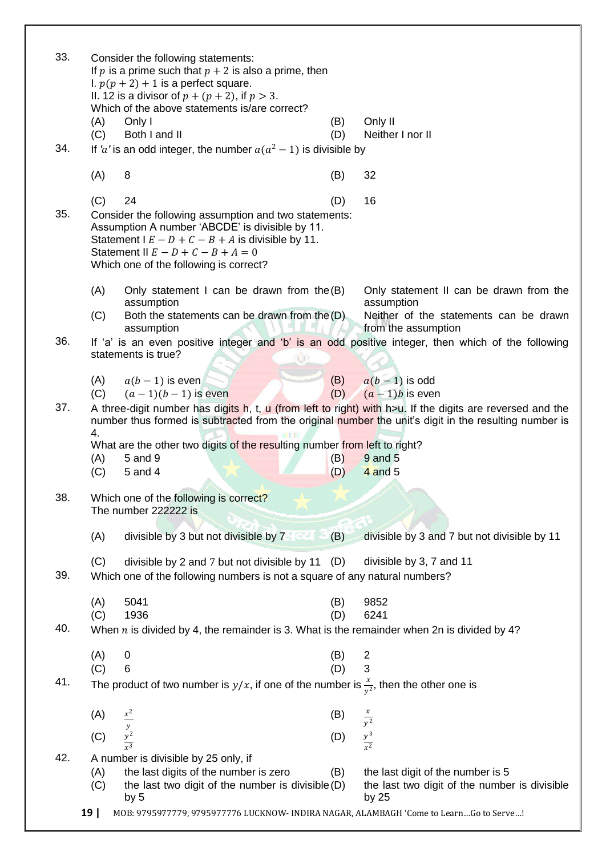| 33. |            | Consider the following statements:<br>If p is a prime such that $p + 2$ is also a prime, then<br>I. $p(p + 2) + 1$ is a perfect square.<br>II. 12 is a divisor of $p + (p + 2)$ , if $p > 3$ .<br>Which of the above statements is/are correct?       |            |                                                                                                                                                                                                                    |
|-----|------------|-------------------------------------------------------------------------------------------------------------------------------------------------------------------------------------------------------------------------------------------------------|------------|--------------------------------------------------------------------------------------------------------------------------------------------------------------------------------------------------------------------|
|     | (A)<br>(C) | Only I<br>Both I and II                                                                                                                                                                                                                               | (B)<br>(D) | Only II<br>Neither I nor II                                                                                                                                                                                        |
| 34. |            | If 'a' is an odd integer, the number $a(a^2 - 1)$ is divisible by                                                                                                                                                                                     |            |                                                                                                                                                                                                                    |
|     |            |                                                                                                                                                                                                                                                       |            |                                                                                                                                                                                                                    |
|     | (A)        | 8                                                                                                                                                                                                                                                     | (B)        | 32                                                                                                                                                                                                                 |
| 35. | (C)        | 24<br>Consider the following assumption and two statements:<br>Assumption A number 'ABCDE' is divisible by 11.<br>Statement $E - D + C - B + A$ is divisible by 11.<br>Statement II $E - D + C - B + A = 0$<br>Which one of the following is correct? | (D)        | 16                                                                                                                                                                                                                 |
|     | (A)        | Only statement I can be drawn from the $(B)$                                                                                                                                                                                                          |            | Only statement II can be drawn from the                                                                                                                                                                            |
|     | (C)        | assumption<br>Both the statements can be drawn from the (D)<br>assumption                                                                                                                                                                             |            | assumption<br>Neither of the statements can be drawn<br>from the assumption                                                                                                                                        |
| 36. |            |                                                                                                                                                                                                                                                       |            | If 'a' is an even positive integer and 'b' is an odd positive integer, then which of the following                                                                                                                 |
|     |            | statements is true?                                                                                                                                                                                                                                   |            |                                                                                                                                                                                                                    |
|     | (A)        | $a(b-1)$ is even                                                                                                                                                                                                                                      | (B)        | $a(b-1)$ is odd                                                                                                                                                                                                    |
|     | (C)        | $(a-1)(b-1)$ is even                                                                                                                                                                                                                                  | (D)        | $(a-1)b$ is even                                                                                                                                                                                                   |
| 37. | 4.         |                                                                                                                                                                                                                                                       |            | A three-digit number has digits h, t, u (from left to right) with h>u. If the digits are reversed and the<br>number thus formed is subtracted from the original number the unit's digit in the resulting number is |
|     |            | What are the other two digits of the resulting number from left to right?                                                                                                                                                                             |            |                                                                                                                                                                                                                    |
|     | (A)<br>(C) | 5 and 9<br>5 and 4                                                                                                                                                                                                                                    | (B)<br>(D) | 9 and 5<br>$4$ and $5$                                                                                                                                                                                             |
|     |            |                                                                                                                                                                                                                                                       |            |                                                                                                                                                                                                                    |
| 38. |            | Which one of the following is correct?<br>The number 222222 is                                                                                                                                                                                        |            |                                                                                                                                                                                                                    |
|     | (A)        | divisible by 3 but not divisible by 7                                                                                                                                                                                                                 | (B)        | divisible by 3 and 7 but not divisible by 11                                                                                                                                                                       |
|     | (C)        | divisible by 2 and 7 but not divisible by 11                                                                                                                                                                                                          | (D)        | divisible by 3, 7 and 11                                                                                                                                                                                           |
| 39. |            | Which one of the following numbers is not a square of any natural numbers?                                                                                                                                                                            |            |                                                                                                                                                                                                                    |
|     |            |                                                                                                                                                                                                                                                       |            |                                                                                                                                                                                                                    |
|     | (A)        |                                                                                                                                                                                                                                                       |            |                                                                                                                                                                                                                    |
|     |            | 5041                                                                                                                                                                                                                                                  | (B)        | 9852                                                                                                                                                                                                               |
| 40. | (C)        | 1936                                                                                                                                                                                                                                                  | (D)        | 6241                                                                                                                                                                                                               |
|     |            | When $n$ is divided by 4, the remainder is 3. What is the remainder when 2n is divided by 4?                                                                                                                                                          |            |                                                                                                                                                                                                                    |
|     | (A)        | $\boldsymbol{0}$                                                                                                                                                                                                                                      | (B)        |                                                                                                                                                                                                                    |
|     | (C)        | 6                                                                                                                                                                                                                                                     | (D)        | $\frac{2}{3}$                                                                                                                                                                                                      |
| 41. |            | The product of two number is $y/x$ , if one of the number is $\frac{x}{y^2}$ , then the other one is                                                                                                                                                  |            |                                                                                                                                                                                                                    |
|     | (A)        |                                                                                                                                                                                                                                                       | (B)        |                                                                                                                                                                                                                    |
|     |            |                                                                                                                                                                                                                                                       |            | $rac{x}{y^2}$                                                                                                                                                                                                      |
|     | (C)        | $\frac{x^2}{y^2}$                                                                                                                                                                                                                                     | (D)        | $\frac{y^3}{x^2}$                                                                                                                                                                                                  |
| 42. |            | A number is divisible by 25 only, if                                                                                                                                                                                                                  |            |                                                                                                                                                                                                                    |
|     | (A)<br>(C) | the last digits of the number is zero<br>the last two digit of the number is divisible (D)                                                                                                                                                            | (B)        | the last digit of the number is 5<br>the last two digit of the number is divisible                                                                                                                                 |
|     |            | by 5<br>MOB: 9795977779, 9795977776 LUCKNOW- INDIRA NAGAR, ALAMBAGH 'Come to LearnGo to Serve!                                                                                                                                                        |            | by 25                                                                                                                                                                                                              |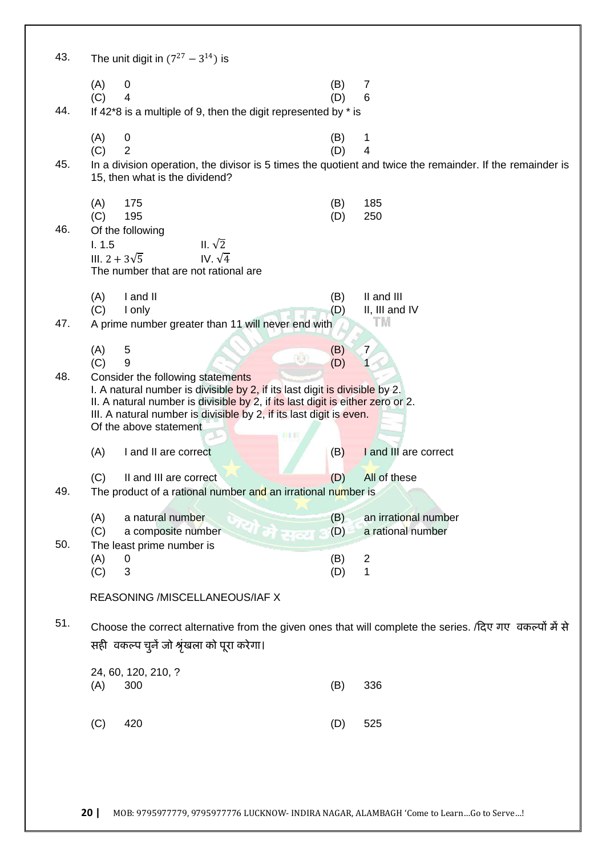| 43. |                     | The unit digit in $(7^{27} - 3^{14})$ is                                                                                                                                                                                                                                                            |            |                                                                                                                     |
|-----|---------------------|-----------------------------------------------------------------------------------------------------------------------------------------------------------------------------------------------------------------------------------------------------------------------------------------------------|------------|---------------------------------------------------------------------------------------------------------------------|
| 44. | (A)<br>(C)          | $\boldsymbol{0}$<br>$\overline{\mathbf{4}}$<br>If $42*8$ is a multiple of 9, then the digit represented by $*$ is                                                                                                                                                                                   | (B)<br>(D) | 7<br>6                                                                                                              |
| 45. | (A)<br>(C)          | 0<br>$\overline{2}$<br>15, then what is the dividend?                                                                                                                                                                                                                                               | (B)<br>(D) | 1<br>4<br>In a division operation, the divisor is 5 times the quotient and twice the remainder. If the remainder is |
| 46. | (A)<br>(C)<br>1.1.5 | 175<br>195<br>Of the following<br>II. $\sqrt{2}$<br>IV. $\sqrt{4}$<br>III. $2 + 3\sqrt{5}$<br>The number that are not rational are                                                                                                                                                                  | (B)<br>(D) | 185<br>250                                                                                                          |
|     | (A)                 | I and II                                                                                                                                                                                                                                                                                            | (B)        | II and III                                                                                                          |
| 47. | (C)                 | I only<br>A prime number greater than 11 will never end with                                                                                                                                                                                                                                        | (D)        | II, III and IV<br>T M                                                                                               |
|     |                     |                                                                                                                                                                                                                                                                                                     |            |                                                                                                                     |
|     | (A)<br>(C)          | 5<br>9                                                                                                                                                                                                                                                                                              | (B)<br>(D) | 7                                                                                                                   |
| 48. |                     | Consider the following statements<br>I. A natural number is divisible by 2, if its last digit is divisible by 2.<br>II. A natural number is divisible by 2, if its last digit is either zero or 2.<br>III. A natural number is divisible by 2, if its last digit is even.<br>Of the above statement |            |                                                                                                                     |
|     | (A)                 | I and II are correct                                                                                                                                                                                                                                                                                | (B)        | I and III are correct                                                                                               |
|     | (C)                 | II and III are correct                                                                                                                                                                                                                                                                              | (D)        | All of these                                                                                                        |
| 49. |                     | The product of a rational number and an irrational number is                                                                                                                                                                                                                                        |            |                                                                                                                     |
| 50. | (A)<br>(C)          | a natural number<br>साहो सत्य<br>a composite number<br>The least prime number is                                                                                                                                                                                                                    | (B)<br>(D) | an irrational number<br>a rational number                                                                           |
|     | (A)                 | 0                                                                                                                                                                                                                                                                                                   | (B)        | $\overline{2}$                                                                                                      |
|     | (C)                 | 3                                                                                                                                                                                                                                                                                                   | (D)        | 1                                                                                                                   |
|     |                     | REASONING /MISCELLANEOUS/IAF X                                                                                                                                                                                                                                                                      |            |                                                                                                                     |
| 51. |                     | सही वकल्प चुनें जो श्रृंखला को पूरा करेगा।                                                                                                                                                                                                                                                          |            | Choose the correct alternative from the given ones that will complete the series. /दिए गए वकल्पों में से            |
|     |                     | 24, 60, 120, 210, ?                                                                                                                                                                                                                                                                                 |            |                                                                                                                     |
|     | (A)                 | 300                                                                                                                                                                                                                                                                                                 | (B)        | 336                                                                                                                 |
|     | (C)                 | 420                                                                                                                                                                                                                                                                                                 | (D)        | 525                                                                                                                 |
|     |                     |                                                                                                                                                                                                                                                                                                     |            |                                                                                                                     |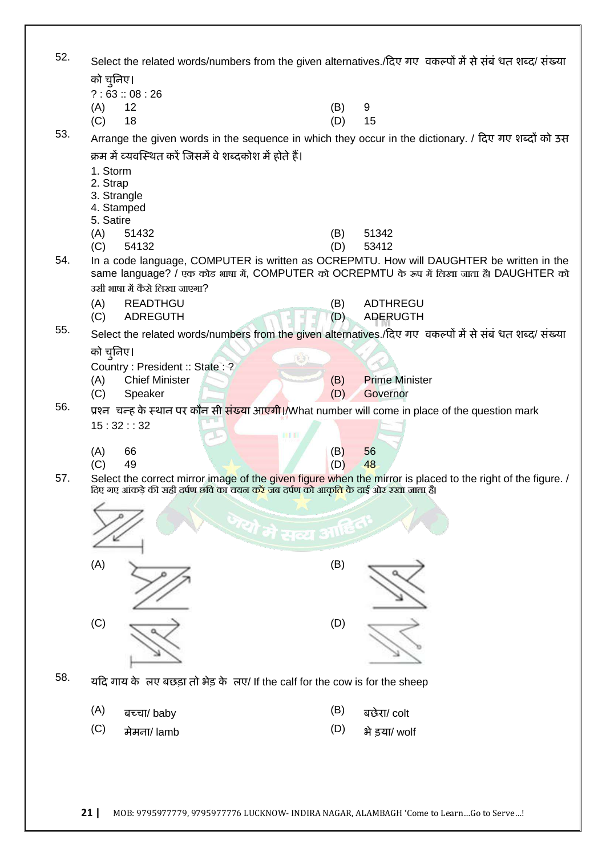| 52. | Select the related words/numbers from the given alternatives./दिए गए वकल्पों में से संबंधत शब्द/ संख्या |                                                                                                              |               |                                                                                                             |  |  |
|-----|---------------------------------------------------------------------------------------------------------|--------------------------------------------------------------------------------------------------------------|---------------|-------------------------------------------------------------------------------------------------------------|--|--|
|     | को चुनिए।                                                                                               |                                                                                                              |               |                                                                                                             |  |  |
|     |                                                                                                         | ?:63::08:26                                                                                                  |               |                                                                                                             |  |  |
|     | (A)                                                                                                     | 12                                                                                                           | (B)           | 9                                                                                                           |  |  |
|     | (C)                                                                                                     | 18                                                                                                           | (D)           | 15                                                                                                          |  |  |
| 53. |                                                                                                         |                                                                                                              |               | Arrange the given words in the sequence in which they occur in the dictionary. / दिए गए शब्दों को उस        |  |  |
|     |                                                                                                         | क्रम में व्यवस्थित करें जिसमें वे शब्दकोश में होते हैं।                                                      |               |                                                                                                             |  |  |
|     | 1. Storm                                                                                                |                                                                                                              |               |                                                                                                             |  |  |
|     | 2. Strap                                                                                                | 3. Strangle                                                                                                  |               |                                                                                                             |  |  |
|     |                                                                                                         | 4. Stamped                                                                                                   |               |                                                                                                             |  |  |
|     | 5. Satire                                                                                               |                                                                                                              |               |                                                                                                             |  |  |
|     | (A)                                                                                                     | 51432                                                                                                        | (B)           | 51342                                                                                                       |  |  |
| 54. | (C)                                                                                                     | 54132                                                                                                        | (D)           | 53412<br>In a code language, COMPUTER is written as OCREPMTU. How will DAUGHTER be written in the           |  |  |
|     |                                                                                                         |                                                                                                              |               | same language? / एक कोड भाषा में, COMPUTER को OCREPMTU के रूप में लिखा जाता है। DAUGHTER को                 |  |  |
|     |                                                                                                         | उसी भाषा में कैसे लिखा जाएगा?                                                                                |               |                                                                                                             |  |  |
|     | (A)                                                                                                     | <b>READTHGU</b>                                                                                              | (B)           | <b>ADTHREGU</b>                                                                                             |  |  |
|     | (C)                                                                                                     | <b>ADREGUTH</b>                                                                                              | (D)           | <b>ADERUGTH</b>                                                                                             |  |  |
| 55. |                                                                                                         |                                                                                                              |               | Select the related words/numbers from the given alternatives./दिए गए वकल्पों में से संबंधत शब्द/ संख्या     |  |  |
|     | को चुनिए।                                                                                               |                                                                                                              |               |                                                                                                             |  |  |
|     |                                                                                                         | Country: President: State: ?                                                                                 |               |                                                                                                             |  |  |
|     | (A)                                                                                                     | <b>Chief Minister</b>                                                                                        | (B)           | <b>Prime Minister</b>                                                                                       |  |  |
| 56. | (C)                                                                                                     | Speaker                                                                                                      | (D)           | Governor                                                                                                    |  |  |
|     |                                                                                                         | प्रश्न चन्ह के स्थान पर कौन सी संख्या आएगी।/What number will come in place of the question mark<br>15:32::32 |               |                                                                                                             |  |  |
|     |                                                                                                         | DE TI                                                                                                        |               |                                                                                                             |  |  |
|     | (A)                                                                                                     | 66                                                                                                           | (B)           | 56                                                                                                          |  |  |
|     | (C)                                                                                                     | 49                                                                                                           | (D)           | 48                                                                                                          |  |  |
| 57. |                                                                                                         | दिए गए आकड़े की सही दर्पण छवि का चयन करें जब दर्पण को आकृति के दाई ओर रखा जाता हैं।                          |               | Select the correct mirror image of the given figure when the mirror is placed to the right of the figure. / |  |  |
|     |                                                                                                         |                                                                                                              |               |                                                                                                             |  |  |
|     |                                                                                                         | यो मे सब्य                                                                                                   | <b>BILLED</b> |                                                                                                             |  |  |
|     |                                                                                                         |                                                                                                              |               |                                                                                                             |  |  |
|     | (A)                                                                                                     |                                                                                                              | (B)           |                                                                                                             |  |  |
|     |                                                                                                         |                                                                                                              |               |                                                                                                             |  |  |
|     |                                                                                                         |                                                                                                              |               |                                                                                                             |  |  |
|     |                                                                                                         |                                                                                                              |               |                                                                                                             |  |  |
|     | (C)                                                                                                     |                                                                                                              | (D)           |                                                                                                             |  |  |
|     |                                                                                                         |                                                                                                              |               |                                                                                                             |  |  |
|     |                                                                                                         |                                                                                                              |               |                                                                                                             |  |  |
| 58. |                                                                                                         | यदि गाय के लए बछड़ा तो भेड़ के लए/ If the calf for the cow is for the sheep                                  |               |                                                                                                             |  |  |
|     | (A)                                                                                                     | बच्चा/ baby                                                                                                  | (B)           | बछेरा/ colt                                                                                                 |  |  |
|     | (C)                                                                                                     | मेमना/ lamb                                                                                                  | (D)           | भे ड़या/ wolf                                                                                               |  |  |
|     |                                                                                                         |                                                                                                              |               |                                                                                                             |  |  |
|     |                                                                                                         |                                                                                                              |               |                                                                                                             |  |  |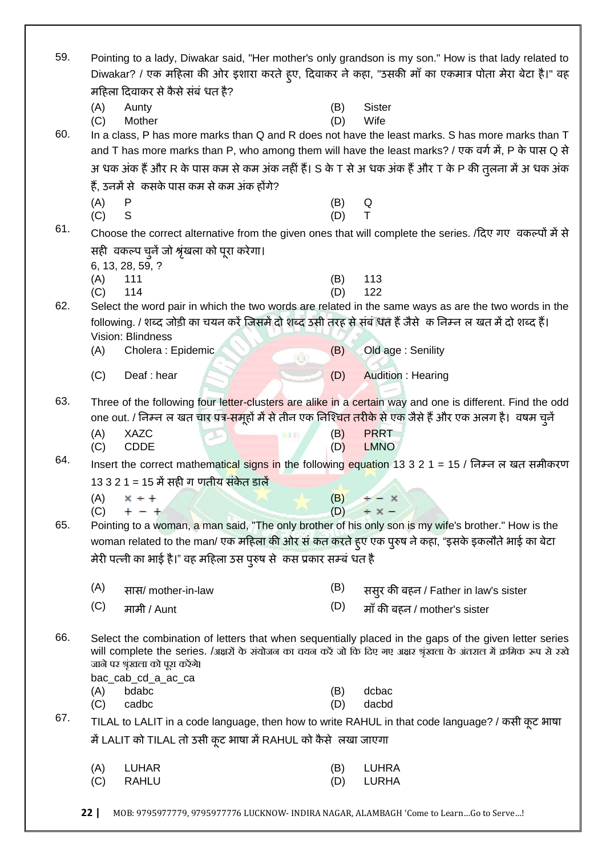| 59. | Pointing to a lady, Diwakar said, "Her mother's only grandson is my son." How is that lady related to<br>Diwakar? / एक महिला की ओर इशारा करते हूए, दिवाकर ने कहा, "उसकी माँ का एकमात्र पोता मेरा बेटा है।" वह |                                                                                                                          |            |                                                                                                                                                                                                         |  |
|-----|---------------------------------------------------------------------------------------------------------------------------------------------------------------------------------------------------------------|--------------------------------------------------------------------------------------------------------------------------|------------|---------------------------------------------------------------------------------------------------------------------------------------------------------------------------------------------------------|--|
|     |                                                                                                                                                                                                               | महिला दिवाकर से कैसे संबं धत है?                                                                                         |            |                                                                                                                                                                                                         |  |
|     | (A)                                                                                                                                                                                                           | Aunty                                                                                                                    | (B)        | Sister                                                                                                                                                                                                  |  |
| 60. | (C)                                                                                                                                                                                                           | Mother                                                                                                                   | (D)        | Wife                                                                                                                                                                                                    |  |
|     |                                                                                                                                                                                                               |                                                                                                                          |            | In a class, P has more marks than Q and R does not have the least marks. S has more marks than T<br>and T has more marks than P, who among them will have the least marks? / एक वर्ग में, P के पास Q से |  |
|     |                                                                                                                                                                                                               |                                                                                                                          |            |                                                                                                                                                                                                         |  |
|     |                                                                                                                                                                                                               |                                                                                                                          |            | अ धक अंक हैं और R के पास कम से कम अंक नहीं हैं। S के T से अ धक अंक हैं और T के P की तुलना में अ धक अंक                                                                                                  |  |
|     |                                                                                                                                                                                                               | हैं, उनमें से  कसके पास कम से कम अंक होंगे?                                                                              |            |                                                                                                                                                                                                         |  |
|     | (A)<br>(C)                                                                                                                                                                                                    | P<br>S                                                                                                                   | (B)<br>(D) | Q<br>Τ                                                                                                                                                                                                  |  |
| 61. |                                                                                                                                                                                                               |                                                                                                                          |            |                                                                                                                                                                                                         |  |
|     |                                                                                                                                                                                                               |                                                                                                                          |            | Choose the correct alternative from the given ones that will complete the series. /दिए गए वकल्पों में से                                                                                                |  |
|     |                                                                                                                                                                                                               | सही) वकल्प चुनै जो श्रृंखला को पूरा करेगा।<br>6, 13, 28, 59, ?                                                           |            |                                                                                                                                                                                                         |  |
|     | (A)                                                                                                                                                                                                           | 111                                                                                                                      | (B)        | 113                                                                                                                                                                                                     |  |
|     | (C)                                                                                                                                                                                                           | 114                                                                                                                      | (D)        | 122                                                                                                                                                                                                     |  |
| 62. |                                                                                                                                                                                                               |                                                                                                                          |            | Select the word pair in which the two words are related in the same ways as are the two words in the                                                                                                    |  |
|     |                                                                                                                                                                                                               | following. / शब्द जोड़ी का चयन करें जिसमें दो शब्द उसी तरह से संबं धंत हैं जैसे  क निम्न ल खत में दो शब्द हैं।           |            |                                                                                                                                                                                                         |  |
|     |                                                                                                                                                                                                               | Vision: Blindness                                                                                                        |            |                                                                                                                                                                                                         |  |
|     | (A)                                                                                                                                                                                                           | Cholera: Epidemic<br>$(\cdot)$                                                                                           | (B)        | Old age: Senility                                                                                                                                                                                       |  |
|     | (C)                                                                                                                                                                                                           | Deaf: hear                                                                                                               | (D)        | <b>Audition: Hearing</b>                                                                                                                                                                                |  |
| 63. |                                                                                                                                                                                                               |                                                                                                                          |            | Three of the following four letter-clusters are alike in a certain way and one is different. Find the odd                                                                                               |  |
|     |                                                                                                                                                                                                               | one out. / निम्न ल खत चार पत् <mark>र-समू</mark> हों में से तीन एक निश्चित तरीके से एक जैसे हैं और एक अलग है।  वषम चुनें |            |                                                                                                                                                                                                         |  |
|     | (A)                                                                                                                                                                                                           | <b>XAZC</b>                                                                                                              | (B)        | <b>PRRT</b>                                                                                                                                                                                             |  |
|     | (C)                                                                                                                                                                                                           | <b>CDDE</b>                                                                                                              | (D)        | <b>LMNO</b>                                                                                                                                                                                             |  |
| 64. |                                                                                                                                                                                                               |                                                                                                                          |            | Insert the correct mathematical signs in the following equation 13 3 2 1 = 15 / निम्न ल खत समीकरण                                                                                                       |  |
|     |                                                                                                                                                                                                               | 13 3 2 1 = 15 में सही ग णतीय संकेत डालें                                                                                 |            |                                                                                                                                                                                                         |  |
|     | (A)                                                                                                                                                                                                           | $x + 1$                                                                                                                  | (B)        | $\div - \times$                                                                                                                                                                                         |  |
|     | (C)                                                                                                                                                                                                           | $+ - +$                                                                                                                  |            | $(D)$ $\div$ $\times$ $-$                                                                                                                                                                               |  |
| 65. |                                                                                                                                                                                                               |                                                                                                                          |            | Pointing to a woman, a man said, "The only brother of his only son is my wife's brother." How is the                                                                                                    |  |
|     |                                                                                                                                                                                                               | woman related to the man/ एक महिला की ओर सं कत करते हुए एक पुरुष ने कहा, "इसके इकलौते भाई का बेटा                        |            |                                                                                                                                                                                                         |  |
|     |                                                                                                                                                                                                               | मेरी पत्नी का भाई है।" वह महिला उस पुरुष से  कस प्रकार सम्बं धत है                                                       |            |                                                                                                                                                                                                         |  |
|     | (A)                                                                                                                                                                                                           | सास/ mother-in-law                                                                                                       | (B)        | ससुर की बहन / Father in law's sister                                                                                                                                                                    |  |
|     | (C)                                                                                                                                                                                                           | मामी / Aunt                                                                                                              | (D)        | माँ की बहन / mother's sister                                                                                                                                                                            |  |
|     |                                                                                                                                                                                                               |                                                                                                                          |            |                                                                                                                                                                                                         |  |
| 66. |                                                                                                                                                                                                               |                                                                                                                          |            | Select the combination of letters that when sequentially placed in the gaps of the given letter series                                                                                                  |  |
|     |                                                                                                                                                                                                               |                                                                                                                          |            | will complete the series. /अक्षरों के संयोजन का चयन करें जो कि दिए गए अक्षर श्रृंखला के अंतराल में क्रमिक रूप से रखे                                                                                    |  |
|     |                                                                                                                                                                                                               | जाने पर श्रृंखला को पूरा करेंगे।                                                                                         |            |                                                                                                                                                                                                         |  |
|     |                                                                                                                                                                                                               | bac_cab_cd_a_ac_ca<br>bdabc                                                                                              | (B)        | dcbac                                                                                                                                                                                                   |  |
|     | (A)<br>(C)                                                                                                                                                                                                    | cadbc                                                                                                                    | (D)        | dacbd                                                                                                                                                                                                   |  |
| 67. |                                                                                                                                                                                                               |                                                                                                                          |            | TILAL to LALIT in a code language, then how to write RAHUL in that code language? / कसी कूट भाषा                                                                                                        |  |
|     |                                                                                                                                                                                                               | में LALIT को TILAL तो उसी कूट भाषा में RAHUL को कैसे  लखा जाएगा                                                          |            |                                                                                                                                                                                                         |  |
|     |                                                                                                                                                                                                               |                                                                                                                          |            |                                                                                                                                                                                                         |  |
|     | (A)                                                                                                                                                                                                           | <b>LUHAR</b>                                                                                                             | (B)        | <b>LUHRA</b>                                                                                                                                                                                            |  |
|     | (C)                                                                                                                                                                                                           | <b>RAHLU</b>                                                                                                             | (D)        | <b>LURHA</b>                                                                                                                                                                                            |  |
|     | 22                                                                                                                                                                                                            | MOB: 9795977779, 9795977776 LUCKNOW- INDIRA NAGAR, ALAMBAGH 'Come to LearnGo to Serve!                                   |            |                                                                                                                                                                                                         |  |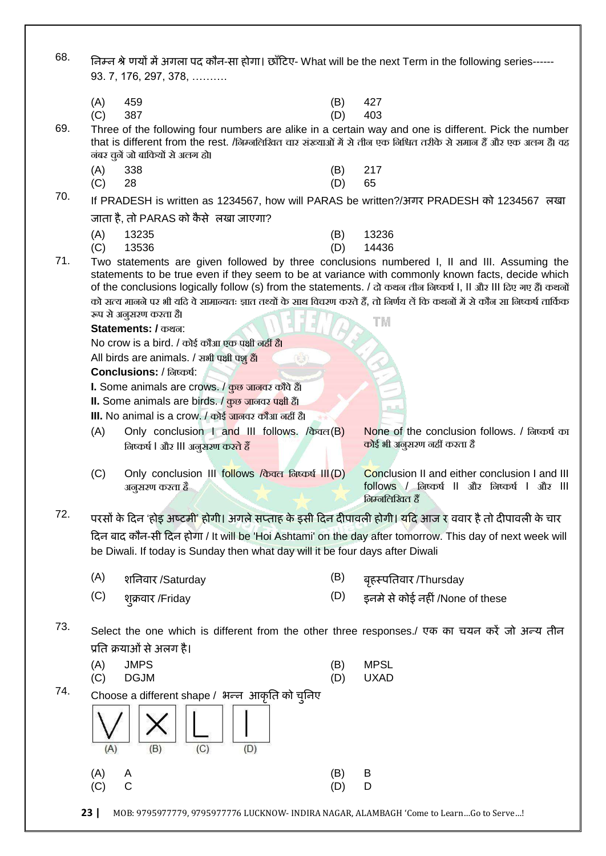68. **तनम्न श्रेखणमों भेंअगरा ऩद कौन**-**सा होगा। छाॉहटए**- What will be the next Term in the following series------ 93. 7, 176, 297, 378, ……….

| $(C)$ 387 |  |  |  | $(D)$ 403 |  |
|-----------|--|--|--|-----------|--|
| $(A)$ 459 |  |  |  | $(B)$ 427 |  |

69. Three of the following four numbers are alike in a certain way and one is different. Pick the number that is different from the rest. /लिम्नलिखित चार संख्याओं में से तीन एक निश्चित तरीके से समान हैं और एक अलग है। वह नंबर चुनें जो बाकियों से अलग हो।

- (A) 338 (B) 217
- (C) 28 (D) 65

70. If PRADESH is written as 1234567, how will PARAS be written?/**अगय** PRADESH **को** <sup>1234567</sup>**लरखा जाता है**, **तो** PARAS **को कै सेलरखा जाएगा**?

| $(A)$ 13235 | $(B)$ 13236   |
|-------------|---------------|
| $(C)$ 13536 | $(D)$ $14436$ |

(C) 13536 (D) 14436

71. Two statements are given followed by three conclusions numbered I, II and III. Assuming the statements to be true even if they seem to be at variance with commonly known facts, decide which of the conclusions logically follow (s) from the statements. / दो कथन तीन निष्कर्ष I, II और III दिए गए हैं। कथनों को सत्य मानने पर भी यदि वे सामान्यतः ज्ञात तथ्यों के साथ विचरण करते हैं, तो निर्णय लें कि कथनों में से कौन सा निष्कर्ष तार्किक रूप से अनसरण करता है। TM.

**Statements: /** कथन:

No crow is a bird. / कोई कौअ एक पक्षी नहीं ह।ै

All birds are animals. / सभी पक्षी पशु हैं।

**Conclusions: / लिप्कर्ष:** 

**I.** Some animals are crows. / कुछ जानिर कौिेह।ैं

**II.** Some animals are birds. / कुछ जानिर पक्षी ह।ैं

**III.** No animal is a crow. / कोई जानिर कौअ नहीं ह।ै

- (A) Only conclusion I and III follows.  $/\overline{\Phi}$  are (B) लिष्कर्ष | और ||| अनुसरण करते हैं
- $(C)$  Only conclusion III follows  $\sqrt{\overline{q}}$  or  $\overline{q}$  or  $\overline{q}$  III(D) अनुसरण करता है

Rone of the conclusion follows. / निष्कर्ष का कोई भी ऄनुसरण नहीं करता है

Conclusion II and either conclusion I and III follows / लिप्कर्ष || और लिप्कर्ष | और ||| लनम्नलिलखत हैं

72. परसों के दिन 'होड़ अष्टमी' होगी। अगले सप्ताह के इसी दिन दीपावली होगी। यदि आज र ववार है तो दीपावली के चार **हदन फाद कौन**-**सी हदन होगा** / It will be 'Hoi Ashtami' on the day after tomorrow. This day of next week will be Diwali. If today is Sunday then what day will it be four days after Diwali

- (A) **शतनिाय** /Saturday (B) **फहृस्ऩततिाय** /Thursday
- (C) **शुक्रिाय** /Friday (D) **इनभेसेकोई नहीॊ**/None of these

73. Select the one which is different from the other three responses./ **एक का चमन कयें जो अन्द्म तीन प्रततकक्रमाओॊसेअरग है।**

- (A) JMPS (B) MPSL (C) DGJM (D) UXAD
- 74. Choose a different shape / **लबन्द्न आकृतत को चुतनए**

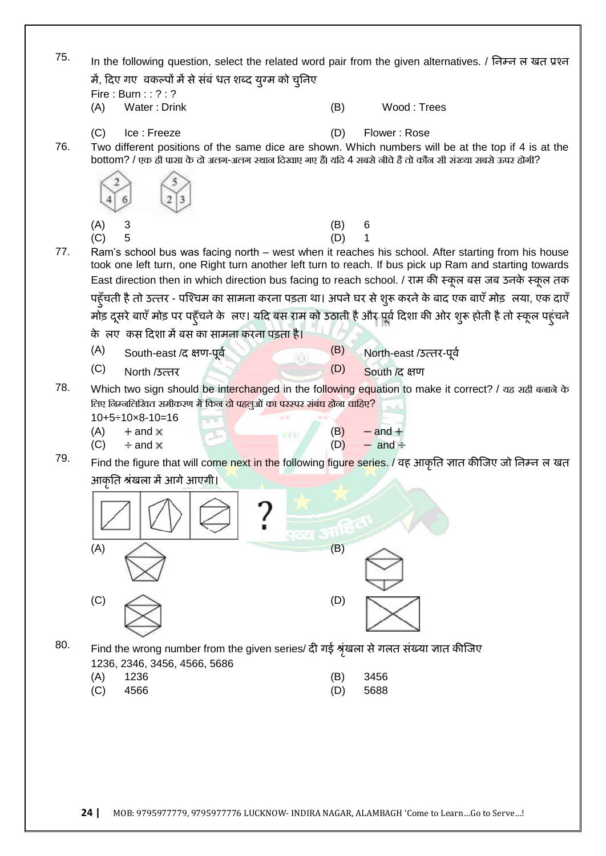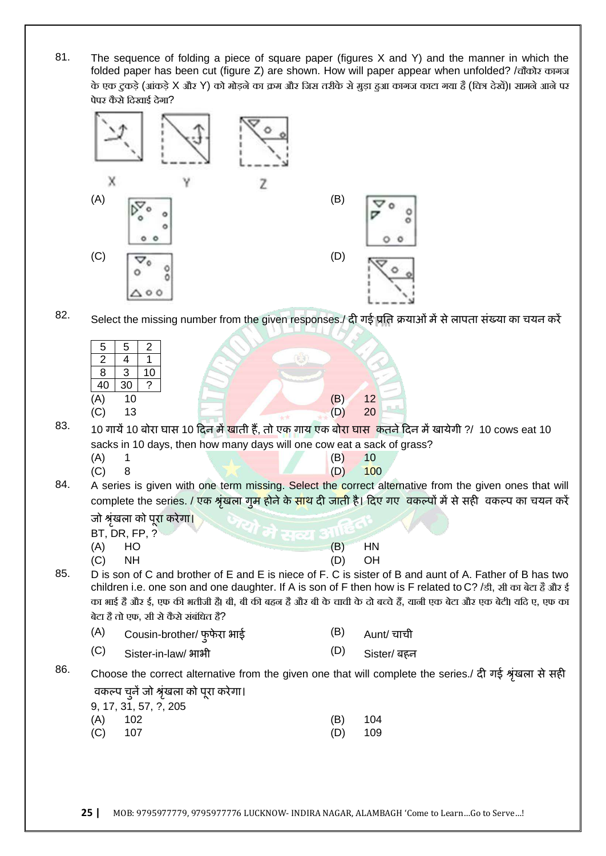81. The sequence of folding a piece of square paper (figures X and Y) and the manner in which the folded paper has been cut (figure Z) are shown. How will paper appear when unfolded? /चौकोर कागज के एक टकडे (आंकडे X और Y) को मोडने का क्रम और जिस तरीके से मडा हुआ कागज काटा गया है (वित्र देखें)। सामने आने पर पेपर कैसे दिखाई देगा?



82. Select the missing number from the given responses./ **दी गई प्रततकक्रमाओॊभेंसेराऩता सॊख्मा का चमन कयें**

| ◡   |                                | 2        |                                     |    |  |
|-----|--------------------------------|----------|-------------------------------------|----|--|
| 2   |                                |          |                                     |    |  |
| 8   | 3                              | 10       |                                     |    |  |
| 40  | 30                             | $\gamma$ |                                     |    |  |
| (A) | 10                             |          | (B)                                 | 12 |  |
| (C) | 13                             |          |                                     | 20 |  |
|     | and the Monday of the State of |          | $\sim$ $\mathbf{w}$<br>$\checkmark$ |    |  |

83. <sup>10</sup>**गामें**10 **फोया घास** <sup>10</sup>**हदन भेंखाती हैं**, **तो एक गाम एक फोया घास ककतनेहदन भेंखामेगी** ?/ 10 cows eat 10 sacks in 10 days, then how many days will one cow eat a sack of grass?

- (A) 1 (B) 10 (C) 8 (D) 100
- 84. A series is given with one term missing. Select the correct alternative from the given ones that will complete the series. / एक श्रृंखला गुम होने के साथ दी जाती है। दिए गए वकल्पों में से सही वकल्प का चयन करें

**जो श्रॊखृ रा को ऩूया कयेगा।**

- BT, DR, FP, ?
- (A) HO (B) HN
- (C) NH (D) OH

85. D is son of C and brother of E and E is niece of F. C is sister of B and aunt of A. Father of B has two children i.e. one son and one daughter. If A is son of F then how is F related to C? /डी, सी का बेटा हैऔर ई का भाई है और ई, एफ की भतीजी हैं। बी, बी की बहन है और बी के चाची के दो बच्चे हैं, यानी एक बेटा और एक बेटी। यदि ए, एफ का बेटा है तो एफ, सी से कैसे संबंधित है?

| (A)<br>Cousin-brother/ फुफेरा भाई |  |  | Aunt/ चाची |
|-----------------------------------|--|--|------------|
|-----------------------------------|--|--|------------|

(C) Sister-in-law/ **बाबी** (D) Sister/ **फहन**

86. Choose the correct alternative from the given one that will complete the series./ **दी गई श्रॊखृ रा सेसही विकल्ऩ चुनेंजो श्रॊखृ रा को ऩूया कयेगा।**

| 9, 17, 31, 57, ?, 205 |           |  |
|-----------------------|-----------|--|
| $(A)$ 102             | $(B)$ 104 |  |
| $(C)$ 107             | $(D)$ 109 |  |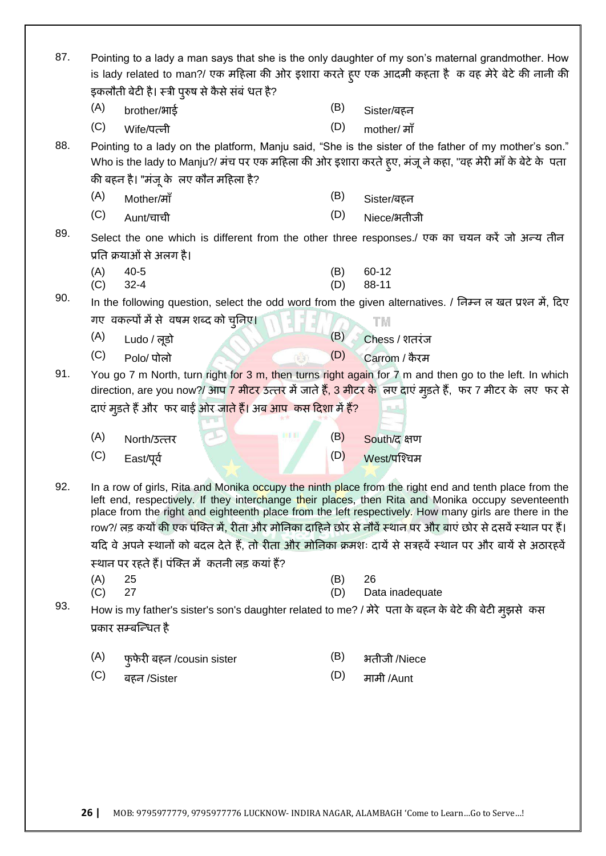| 87. | Pointing to a lady a man says that she is the only daughter of my son's maternal grandmother. How<br>is lady related to man?/ एक महिला की ओर इशारा करते हूए एक आदमी कहता है  क वह मेरे बेटे की नानी की<br>इकलौती बेटी है। स्त्री पुरुष से कैसे संबं धत है?                                                                                                                                                                                                                                                                                                                                                   |                                                                                                                             |     |                                                                                                                                                                                                                      |  |
|-----|--------------------------------------------------------------------------------------------------------------------------------------------------------------------------------------------------------------------------------------------------------------------------------------------------------------------------------------------------------------------------------------------------------------------------------------------------------------------------------------------------------------------------------------------------------------------------------------------------------------|-----------------------------------------------------------------------------------------------------------------------------|-----|----------------------------------------------------------------------------------------------------------------------------------------------------------------------------------------------------------------------|--|
|     | (A)                                                                                                                                                                                                                                                                                                                                                                                                                                                                                                                                                                                                          | brother/भाई                                                                                                                 | (B) | Sister/बहन                                                                                                                                                                                                           |  |
|     | (C)                                                                                                                                                                                                                                                                                                                                                                                                                                                                                                                                                                                                          | Wife/पत्नी                                                                                                                  | (D) | mother/ माँ                                                                                                                                                                                                          |  |
| 88. |                                                                                                                                                                                                                                                                                                                                                                                                                                                                                                                                                                                                              | की बहन है। "मंजू के लए कौन महिला है?                                                                                        |     | Pointing to a lady on the platform, Manju said, "She is the sister of the father of my mother's son."<br>Who is the lady to Manju?/ मंच पर एक महिला की ओर इशारा करते हुए, मंजू ने कहा, "वह मेरी माँ के बेटे के  पता  |  |
|     | (A)                                                                                                                                                                                                                                                                                                                                                                                                                                                                                                                                                                                                          | Mother/ਸਾੱ                                                                                                                  | (B) | Sister/बहन                                                                                                                                                                                                           |  |
|     | (C)                                                                                                                                                                                                                                                                                                                                                                                                                                                                                                                                                                                                          | Aunt/चाची                                                                                                                   | (D) | Niece/भतीजी                                                                                                                                                                                                          |  |
| 89. | (A)                                                                                                                                                                                                                                                                                                                                                                                                                                                                                                                                                                                                          | प्रति क्रयाओं से अलग है।<br>$40 - 5$                                                                                        | (B) | Select the one which is different from the other three responses./ एक का चयन करें जो अन्य तीन<br>60-12                                                                                                               |  |
|     | (C)                                                                                                                                                                                                                                                                                                                                                                                                                                                                                                                                                                                                          | $32 - 4$                                                                                                                    | (D) | 88-11                                                                                                                                                                                                                |  |
| 90. |                                                                                                                                                                                                                                                                                                                                                                                                                                                                                                                                                                                                              |                                                                                                                             |     | In the following question, select the odd word from the given alternatives. / निम्न ल खत प्रश्न में, दिए                                                                                                             |  |
|     |                                                                                                                                                                                                                                                                                                                                                                                                                                                                                                                                                                                                              | गए) वकल्पों में से 'वषम शब्द को चुनिए।                                                                                      |     | TM                                                                                                                                                                                                                   |  |
|     | (A)                                                                                                                                                                                                                                                                                                                                                                                                                                                                                                                                                                                                          | Ludo / लूडो                                                                                                                 | (B) | Chess / शतरंज                                                                                                                                                                                                        |  |
|     | (C)                                                                                                                                                                                                                                                                                                                                                                                                                                                                                                                                                                                                          | Polo/ पोलो                                                                                                                  | (D) | Carrom / कैरम                                                                                                                                                                                                        |  |
| 91. |                                                                                                                                                                                                                                                                                                                                                                                                                                                                                                                                                                                                              | दाएं मुड़ते हैं और  फर बाईं ओर जा <mark>ते हैं। अब आप  कस दिशा में हैं?</mark>                                              |     | You go 7 m North, turn right for 3 m, then turns right again for 7 m and then go to the left. In which<br>direction, are you now?/ आप 7 मीटर उत्तर में जाते हैं, 3 मीटर के लए दाएं मुड़ते हैं, फर 7 मीटर के लए फर से |  |
|     | (A)                                                                                                                                                                                                                                                                                                                                                                                                                                                                                                                                                                                                          | North/उत्तर                                                                                                                 | (B) | South/द क्षण                                                                                                                                                                                                         |  |
|     | (C)                                                                                                                                                                                                                                                                                                                                                                                                                                                                                                                                                                                                          | East/पूर्व                                                                                                                  | (D) | West/पश्चिम                                                                                                                                                                                                          |  |
| 92. | In a row of girls, Rita and Monika occupy the ninth place from the right end and tenth place from the<br>left end, respectively. If they interchange their places, then Rita and Monika occupy seventeenth<br>place from the right and eighteenth place from the left respectively. How many girls are there in the<br>row?/ लड़ कयों की एक पंक्ति में, रीता और मोनिका दाहिने छोर से नौवें स्थान पर और बाएं छोर से दसवें स्थान पर हैं।<br>यदि वे अपने स्थानों को बदल देते हैं, तो रीता और मोनिका क्रमशः दायें से सत्रहवें स्थान पर और बायें से अठारहवें<br>स्थान पर रहते हैं। पंक्ति में  कतनी लड़ कयां हैं? |                                                                                                                             |     |                                                                                                                                                                                                                      |  |
|     | (A)                                                                                                                                                                                                                                                                                                                                                                                                                                                                                                                                                                                                          | 25                                                                                                                          | (B) | 26                                                                                                                                                                                                                   |  |
| 93. | (C)                                                                                                                                                                                                                                                                                                                                                                                                                                                                                                                                                                                                          | 27                                                                                                                          | (D) | Data inadequate                                                                                                                                                                                                      |  |
|     |                                                                                                                                                                                                                                                                                                                                                                                                                                                                                                                                                                                                              | How is my father's sister's son's daughter related to me? / मेरे पता के बहन के बेटे की बेटी मुझसे कस<br>प्रकार सम्बन्धित है |     |                                                                                                                                                                                                                      |  |
|     | (A)                                                                                                                                                                                                                                                                                                                                                                                                                                                                                                                                                                                                          | फुफेरी बहन /cousin sister                                                                                                   | (B) | भतीजी /Niece                                                                                                                                                                                                         |  |
|     | (C)                                                                                                                                                                                                                                                                                                                                                                                                                                                                                                                                                                                                          | बहन /Sister                                                                                                                 | (D) | मामी /Aunt                                                                                                                                                                                                           |  |
|     |                                                                                                                                                                                                                                                                                                                                                                                                                                                                                                                                                                                                              |                                                                                                                             |     |                                                                                                                                                                                                                      |  |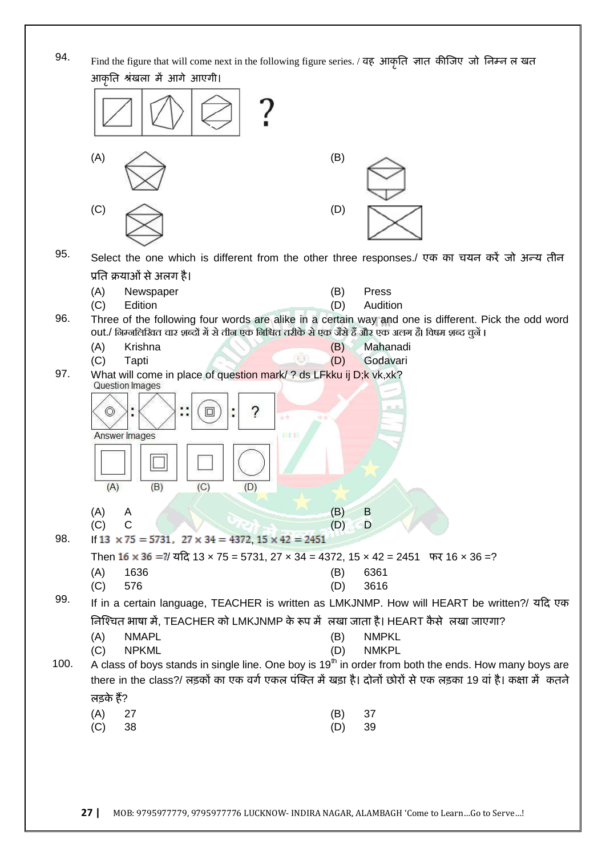94. Find the figure that will come next in the following figure series. / **िह आकृतत ऻात कीजजए जो तनम्न <sup>र</sup> खत**